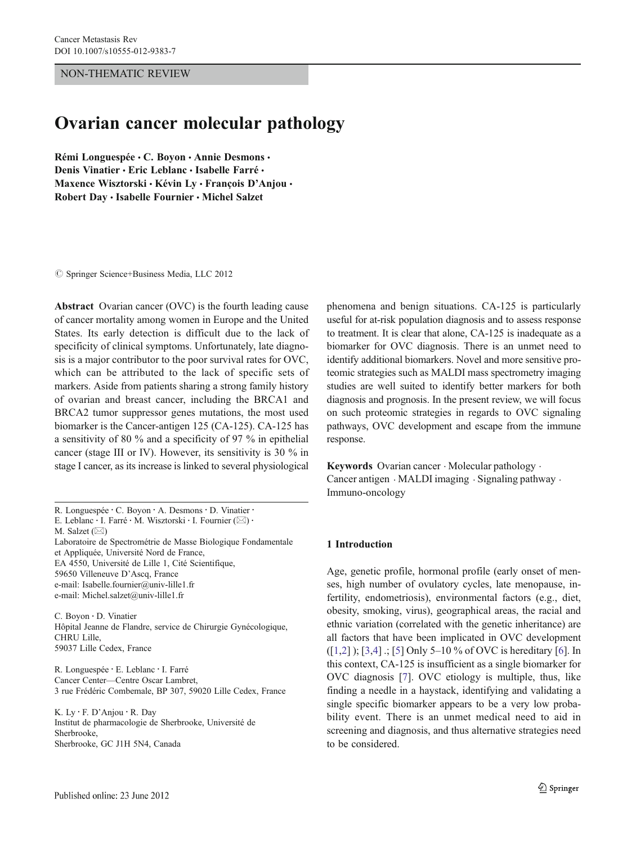#### NON-THEMATIC REVIEW

# Ovarian cancer molecular pathology

Rémi Longuespée · C. Boyon · Annie Desmons · Denis Vinatier • Eric Leblanc • Isabelle Farré • Maxence Wisztorski · Kévin Ly · François D'Anjou · Robert Day · Isabelle Fournier · Michel Salzet

 $©$  Springer Science+Business Media, LLC 2012

Abstract Ovarian cancer (OVC) is the fourth leading cause of cancer mortality among women in Europe and the United States. Its early detection is difficult due to the lack of specificity of clinical symptoms. Unfortunately, late diagnosis is a major contributor to the poor survival rates for OVC, which can be attributed to the lack of specific sets of markers. Aside from patients sharing a strong family history of ovarian and breast cancer, including the BRCA1 and BRCA2 tumor suppressor genes mutations, the most used biomarker is the Cancer-antigen 125 (CA-125). CA-125 has a sensitivity of 80 % and a specificity of 97 % in epithelial cancer (stage III or IV). However, its sensitivity is 30 % in stage I cancer, as its increase is linked to several physiological

M. Salzet  $(\boxtimes)$ 

Laboratoire de Spectrométrie de Masse Biologique Fondamentale et Appliquée, Université Nord de France, EA 4550, Université de Lille 1, Cité Scientifique, 59650 Villeneuve D'Ascq, France e-mail: Isabelle.fournier@univ-lille1.fr e-mail: Michel.salzet@univ-lille1.fr

C. Boyon : D. Vinatier Hôpital Jeanne de Flandre, service de Chirurgie Gynécologique, CHRU Lille, 59037 Lille Cedex, France

R. Longuespée : E. Leblanc : I. Farré Cancer Center—Centre Oscar Lambret, 3 rue Frédéric Combemale, BP 307, 59020 Lille Cedex, France

K. Ly : F. D'Anjou : R. Day Institut de pharmacologie de Sherbrooke, Université de Sherbrooke, Sherbrooke, GC J1H 5N4, Canada

phenomena and benign situations. CA-125 is particularly useful for at-risk population diagnosis and to assess response to treatment. It is clear that alone, CA-125 is inadequate as a biomarker for OVC diagnosis. There is an unmet need to identify additional biomarkers. Novel and more sensitive proteomic strategies such as MALDI mass spectrometry imaging studies are well suited to identify better markers for both diagnosis and prognosis. In the present review, we will focus on such proteomic strategies in regards to OVC signaling pathways, OVC development and escape from the immune response.

Keywords Ovarian cancer  $\cdot$  Molecular pathology  $\cdot$ Cancer antigen . MALDI imaging . Signaling pathway . Immuno-oncology

#### 1 Introduction

Age, genetic profile, hormonal profile (early onset of menses, high number of ovulatory cycles, late menopause, infertility, endometriosis), environmental factors (e.g., diet, obesity, smoking, virus), geographical areas, the racial and ethnic variation (correlated with the genetic inheritance) are all factors that have been implicated in OVC development ([[1,2](#page-13-0)] ); [[3,4](#page-13-0)] .; [\[5](#page-13-0)] Only 5–10 % of OVC is hereditary [\[6](#page-13-0)]. In this context, CA-125 is insufficient as a single biomarker for OVC diagnosis [[7\]](#page-13-0). OVC etiology is multiple, thus, like finding a needle in a haystack, identifying and validating a single specific biomarker appears to be a very low probability event. There is an unmet medical need to aid in screening and diagnosis, and thus alternative strategies need to be considered.

R. Longuespée · C. Boyon · A. Desmons · D. Vinatier ·

E. Leblanc  $\cdot$  I. Farré  $\cdot$  M. Wisztorski  $\cdot$  I. Fournier ( $\boxtimes$ )  $\cdot$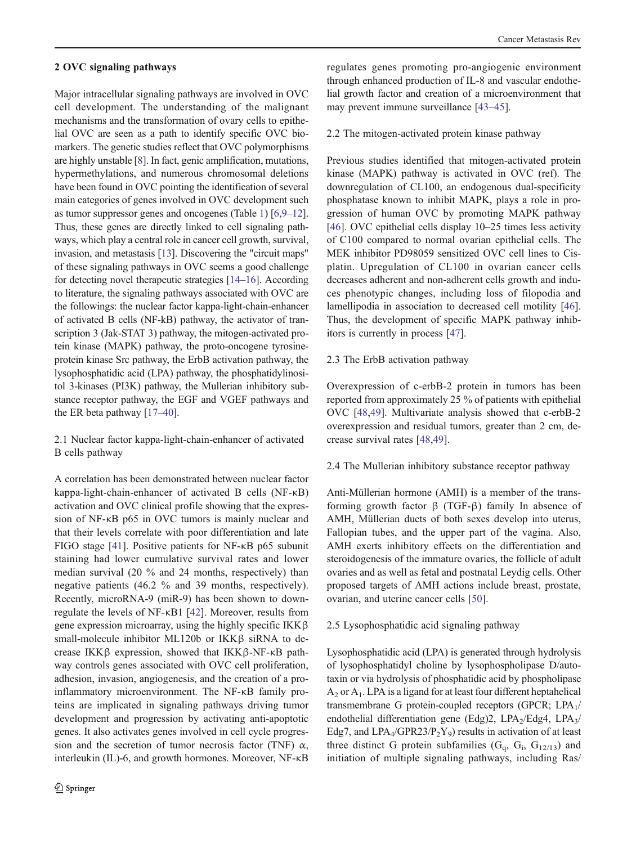#### 2 OVC signaling pathways

Major intracellular signaling pathways are involved in OVC cell development. The understanding of the malignant mechanisms and the transformation of ovary cells to epithelial OVC are seen as a path to identify specific OVC biomarkers. The genetic studies reflect that OVC polymorphisms are highly unstable [[8\]](#page-13-0). In fact, genic amplification, mutations, hypermethylations, and numerous chromosomal deletions have been found in OVC pointing the identification of several main categories of genes involved in OVC development such as tumor suppressor genes and oncogenes (Table [1\)](#page-2-0) [[6,9](#page-13-0)–[12\]](#page-13-0). Thus, these genes are directly linked to cell signaling pathways, which play a central role in cancer cell growth, survival, invasion, and metastasis [\[13\]](#page-13-0). Discovering the "circuit maps" of these signaling pathways in OVC seems a good challenge for detecting novel therapeutic strategies [\[14](#page-13-0)–[16\]](#page-13-0). According to literature, the signaling pathways associated with OVC are the followings: the nuclear factor kappa-light-chain-enhancer of activated B cells (NF-kB) pathway, the activator of transcription 3 (Jak-STAT 3) pathway, the mitogen-activated protein kinase (MAPK) pathway, the proto-oncogene tyrosineprotein kinase Src pathway, the ErbB activation pathway, the lysophosphatidic acid (LPA) pathway, the phosphatidylinositol 3-kinases (PI3K) pathway, the Mullerian inhibitory substance receptor pathway, the EGF and VGEF pathways and the ER beta pathway [\[17](#page-13-0)–[40\]](#page-14-0).

## 2.1 Nuclear factor kappa-light-chain-enhancer of activated B cells pathway

A correlation has been demonstrated between nuclear factor kappa-light-chain-enhancer of activated B cells (NF-κB) activation and OVC clinical profile showing that the expression of NF-κB p65 in OVC tumors is mainly nuclear and that their levels correlate with poor differentiation and late FIGO stage [[41\]](#page-14-0). Positive patients for NF-κB p65 subunit staining had lower cumulative survival rates and lower median survival (20 % and 24 months, respectively) than negative patients (46.2 % and 39 months, respectively). Recently, microRNA-9 (miR-9) has been shown to downregulate the levels of NF-κB1 [[42\]](#page-14-0). Moreover, results from gene expression microarray, using the highly specific  $IKK\beta$ small-molecule inhibitor ML120b or IKKβ siRNA to decrease IKKβ expression, showed that IKKβ-NF-κB pathway controls genes associated with OVC cell proliferation, adhesion, invasion, angiogenesis, and the creation of a proinflammatory microenvironment. The NF-κB family proteins are implicated in signaling pathways driving tumor development and progression by activating anti-apoptotic genes. It also activates genes involved in cell cycle progression and the secretion of tumor necrosis factor (TNF)  $\alpha$ , interleukin (IL)-6, and growth hormones. Moreover, NF-κB regulates genes promoting pro-angiogenic environment through enhanced production of IL-8 and vascular endothelial growth factor and creation of a microenvironment that may prevent immune surveillance [\[43](#page-14-0)–[45](#page-14-0)].

### 2.2 The mitogen-activated protein kinase pathway

Previous studies identified that mitogen-activated protein kinase (MAPK) pathway is activated in OVC (ref). The downregulation of CL100, an endogenous dual-specificity phosphatase known to inhibit MAPK, plays a role in progression of human OVC by promoting MAPK pathway [\[46](#page-14-0)]. OVC epithelial cells display 10–25 times less activity of C100 compared to normal ovarian epithelial cells. The MEK inhibitor PD98059 sensitized OVC cell lines to Cisplatin. Upregulation of CL100 in ovarian cancer cells decreases adherent and non-adherent cells growth and induces phenotypic changes, including loss of filopodia and lamellipodia in association to decreased cell motility [[46\]](#page-14-0). Thus, the development of specific MAPK pathway inhibitors is currently in process [\[47](#page-14-0)].

#### 2.3 The ErbB activation pathway

Overexpression of c-erbB-2 protein in tumors has been reported from approximately 25 % of patients with epithelial OVC [[48,49](#page-14-0)]. Multivariate analysis showed that c-erbB-2 overexpression and residual tumors, greater than 2 cm, decrease survival rates [\[48](#page-14-0),[49\]](#page-14-0).

#### 2.4 The Mullerian inhibitory substance receptor pathway

Anti-Müllerian hormone (AMH) is a member of the transforming growth factor β (TGF-β) family In absence of AMH, Müllerian ducts of both sexes develop into uterus, Fallopian tubes, and the upper part of the vagina. Also, AMH exerts inhibitory effects on the differentiation and steroidogenesis of the immature ovaries, the follicle of adult ovaries and as well as fetal and postnatal Leydig cells. Other proposed targets of AMH actions include breast, prostate, ovarian, and uterine cancer cells [[50\]](#page-14-0).

#### 2.5 Lysophosphatidic acid signaling pathway

Lysophosphatidic acid (LPA) is generated through hydrolysis of lysophosphatidyl choline by lysophospholipase D/autotaxin or via hydrolysis of phosphatidic acid by phospholipase  $A_2$  or  $A_1$ . LPA is a ligand for at least four different heptahelical transmembrane G protein-coupled receptors (GPCR;  $LPA<sub>1</sub>/$ endothelial differentiation gene (Edg)2, LPA<sub>2</sub>/Edg4, LPA<sub>3</sub>/ Edg7, and LPA<sub>4</sub>/GPR23/P<sub>2</sub>Y<sub>9</sub>) results in activation of at least three distinct G protein subfamilies  $(G_q, G_i, G_{12/13})$  and initiation of multiple signaling pathways, including Ras/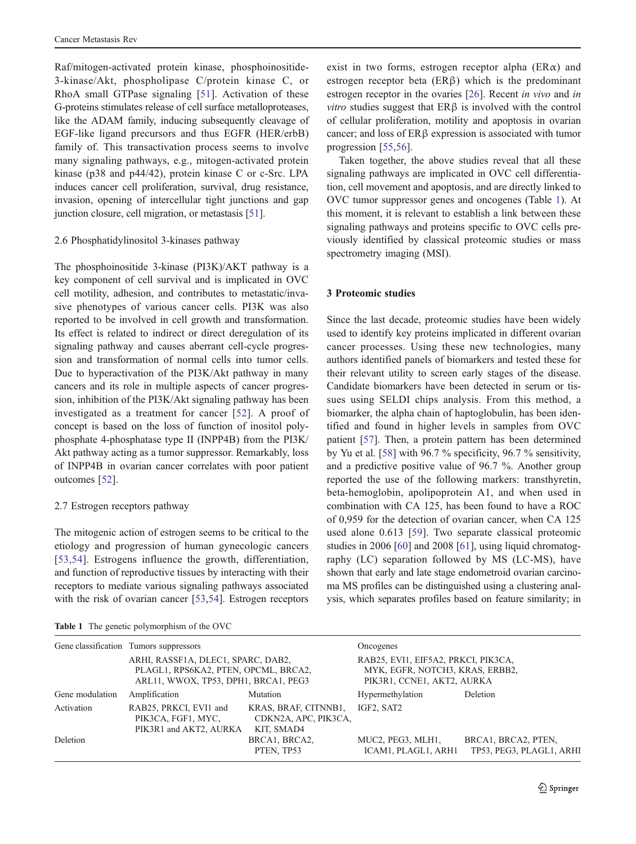<span id="page-2-0"></span>Raf/mitogen-activated protein kinase, phosphoinositide-3-kinase/Akt, phospholipase C/protein kinase C, or RhoA small GTPase signaling [[51\]](#page-14-0). Activation of these G-proteins stimulates release of cell surface metalloproteases, like the ADAM family, inducing subsequently cleavage of EGF-like ligand precursors and thus EGFR (HER/erbB) family of. This transactivation process seems to involve many signaling pathways, e.g., mitogen-activated protein kinase (p38 and p44/42), protein kinase C or c-Src. LPA induces cancer cell proliferation, survival, drug resistance, invasion, opening of intercellular tight junctions and gap junction closure, cell migration, or metastasis [\[51\]](#page-14-0).

### 2.6 Phosphatidylinositol 3-kinases pathway

The phosphoinositide 3-kinase (PI3K)/AKT pathway is a key component of cell survival and is implicated in OVC cell motility, adhesion, and contributes to metastatic/invasive phenotypes of various cancer cells. PI3K was also reported to be involved in cell growth and transformation. Its effect is related to indirect or direct deregulation of its signaling pathway and causes aberrant cell-cycle progression and transformation of normal cells into tumor cells. Due to hyperactivation of the PI3K/Akt pathway in many cancers and its role in multiple aspects of cancer progression, inhibition of the PI3K/Akt signaling pathway has been investigated as a treatment for cancer [\[52](#page-14-0)]. A proof of concept is based on the loss of function of inositol polyphosphate 4-phosphatase type II (INPP4B) from the PI3K/ Akt pathway acting as a tumor suppressor. Remarkably, loss of INPP4B in ovarian cancer correlates with poor patient outcomes [\[52](#page-14-0)].

# 2.7 Estrogen receptors pathway

The mitogenic action of estrogen seems to be critical to the etiology and progression of human gynecologic cancers [\[53,54](#page-14-0)]. Estrogens influence the growth, differentiation, and function of reproductive tissues by interacting with their receptors to mediate various signaling pathways associated with the risk of ovarian cancer [[53,54](#page-14-0)]. Estrogen receptors

Table 1 The genetic polymorphism of the OVC

exist in two forms, estrogen receptor alpha  $(ER\alpha)$  and estrogen receptor beta (ERβ) which is the predominant estrogen receptor in the ovaries [\[26](#page-14-0)]. Recent in vivo and in vitro studies suggest that ERβ is involved with the control of cellular proliferation, motility and apoptosis in ovarian cancer; and loss of ERβ expression is associated with tumor progression [[55,56](#page-15-0)].

Taken together, the above studies reveal that all these signaling pathways are implicated in OVC cell differentiation, cell movement and apoptosis, and are directly linked to OVC tumor suppressor genes and oncogenes (Table 1). At this moment, it is relevant to establish a link between these signaling pathways and proteins specific to OVC cells previously identified by classical proteomic studies or mass spectrometry imaging (MSI).

# 3 Proteomic studies

Since the last decade, proteomic studies have been widely used to identify key proteins implicated in different ovarian cancer processes. Using these new technologies, many authors identified panels of biomarkers and tested these for their relevant utility to screen early stages of the disease. Candidate biomarkers have been detected in serum or tissues using SELDI chips analysis. From this method, a biomarker, the alpha chain of haptoglobulin, has been identified and found in higher levels in samples from OVC patient [\[57](#page-15-0)]. Then, a protein pattern has been determined by Yu et al. [[58\]](#page-15-0) with 96.7 % specificity, 96.7 % sensitivity, and a predictive positive value of 96.7 %. Another group reported the use of the following markers: transthyretin, beta-hemoglobin, apolipoprotein A1, and when used in combination with CA 125, has been found to have a ROC of 0,959 for the detection of ovarian cancer, when CA 125 used alone 0.613 [[59\]](#page-15-0). Two separate classical proteomic studies in 2006 [\[60](#page-15-0)] and 2008 [[61\]](#page-15-0), using liquid chromatography (LC) separation followed by MS (LC-MS), have shown that early and late stage endometroid ovarian carcinoma MS profiles can be distinguished using a clustering analysis, which separates profiles based on feature similarity; in

|                 | Gene classification Tumors suppressors                                                                             |                                                            | Oncogenes                                                                                            |                                                 |  |
|-----------------|--------------------------------------------------------------------------------------------------------------------|------------------------------------------------------------|------------------------------------------------------------------------------------------------------|-------------------------------------------------|--|
|                 | ARHI, RASSF1A, DLEC1, SPARC, DAB2,<br>PLAGL1, RPS6KA2, PTEN, OPCML, BRCA2,<br>ARL11, WWOX, TP53, DPH1, BRCA1, PEG3 |                                                            | RAB25, EVI1, EIF5A2, PRKCI, PIK3CA,<br>MYK, EGFR, NOTCH3, KRAS, ERBB2,<br>PIK3R1, CCNE1, AKT2, AURKA |                                                 |  |
| Gene modulation | Amplification                                                                                                      | Mutation                                                   | Hypermethylation                                                                                     | Deletion                                        |  |
| Activation      | RAB25, PRKCI, EVI1 and<br>PIK3CA, FGF1, MYC,<br>PIK3R1 and AKT2, AURKA                                             | KRAS, BRAF, CITNNB1,<br>CDKN2A, APC, PIK3CA,<br>KIT, SMAD4 | IGF2, SAT2                                                                                           |                                                 |  |
| Deletion        |                                                                                                                    | BRCA1, BRCA2,<br>PTEN, TP53                                | MUC2, PEG3, MLH1,<br>ICAM1, PLAGL1, ARH1                                                             | BRCA1, BRCA2, PTEN,<br>TP53, PEG3, PLAGL1, ARHI |  |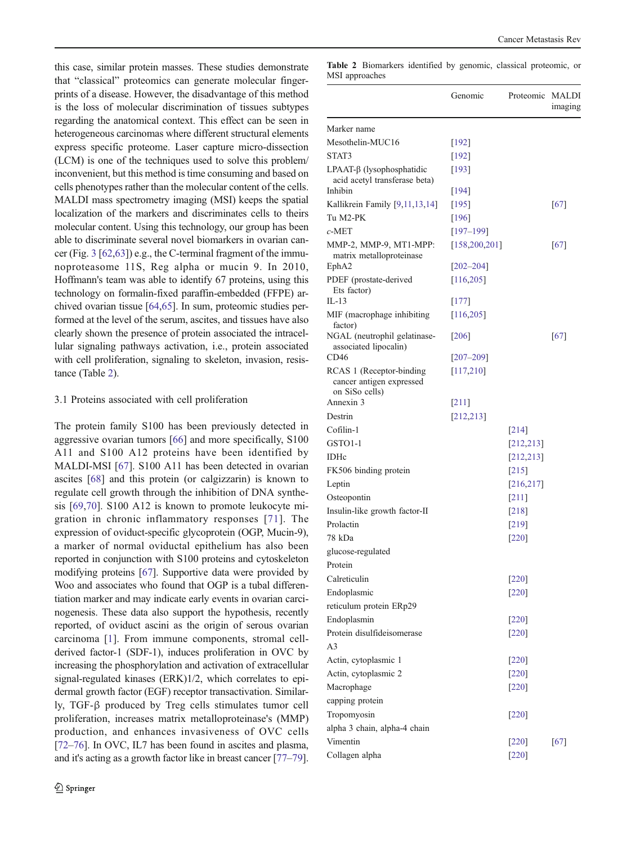this case, similar protein masses. These studies demonstrate that "classical" proteomics can generate molecular fingerprints of a disease. However, the disadvantage of this method is the loss of molecular discrimination of tissues subtypes regarding the anatomical context. This effect can be seen in heterogeneous carcinomas where different structural elements express specific proteome. Laser capture micro-dissection (LCM) is one of the techniques used to solve this problem/ inconvenient, but this method is time consuming and based on cells phenotypes rather than the molecular content of the cells. MALDI mass spectrometry imaging (MSI) keeps the spatial localization of the markers and discriminates cells to theirs molecular content. Using this technology, our group has been able to discriminate several novel biomarkers in ovarian cancer (Fig. [3](#page-8-0) [[62](#page-15-0),[63\]](#page-15-0)) e.g., the C-terminal fragment of the immunoproteasome 11S, Reg alpha or mucin 9. In 2010, Hoffmann's team was able to identify 67 proteins, using this technology on formalin-fixed paraffin-embedded (FFPE) archived ovarian tissue [\[64](#page-15-0),[65](#page-15-0)]. In sum, proteomic studies performed at the level of the serum, ascites, and tissues have also clearly shown the presence of protein associated the intracellular signaling pathways activation, i.e., protein associated with cell proliferation, signaling to skeleton, invasion, resistance (Table 2).

### 3.1 Proteins associated with cell proliferation

The protein family S100 has been previously detected in aggressive ovarian tumors [[66\]](#page-15-0) and more specifically, S100 A11 and S100 A12 proteins have been identified by MALDI-MSI [[67\]](#page-15-0). S100 A11 has been detected in ovarian ascites [[68\]](#page-15-0) and this protein (or calgizzarin) is known to regulate cell growth through the inhibition of DNA synthesis [\[69](#page-15-0),[70\]](#page-15-0). S100 A12 is known to promote leukocyte migration in chronic inflammatory responses [[71\]](#page-15-0). The expression of oviduct-specific glycoprotein (OGP, Mucin-9), a marker of normal oviductal epithelium has also been reported in conjunction with S100 proteins and cytoskeleton modifying proteins [\[67\]](#page-15-0). Supportive data were provided by Woo and associates who found that OGP is a tubal differentiation marker and may indicate early events in ovarian carcinogenesis. These data also support the hypothesis, recently reported, of oviduct ascini as the origin of serous ovarian carcinoma [[1](#page-13-0)]. From immune components, stromal cellderived factor-1 (SDF-1), induces proliferation in OVC by increasing the phosphorylation and activation of extracellular signal-regulated kinases (ERK)1/2, which correlates to epidermal growth factor (EGF) receptor transactivation. Similarly, TGF-β produced by Treg cells stimulates tumor cell proliferation, increases matrix metalloproteinase's (MMP) production, and enhances invasiveness of OVC cells [\[72](#page-15-0)–[76\]](#page-15-0). In OVC, IL7 has been found in ascites and plasma, and it's acting as a growth factor like in breast cancer [\[77](#page-15-0)–[79\]](#page-15-0).

Table 2 Biomarkers identified by genomic, classical proteomic, or MSI approaches

|                                                                        | Genomic             | Proteomic MALDI    | imaging |
|------------------------------------------------------------------------|---------------------|--------------------|---------|
| Marker name                                                            |                     |                    |         |
| Mesothelin-MUC16                                                       | $\lceil 192 \rceil$ |                    |         |
| STAT3                                                                  | $\lceil 192 \rceil$ |                    |         |
| $LPAAT-\beta$ (lysophosphatidic<br>acid acetyl transferase beta)       | [193]               |                    |         |
| Inhibin                                                                | [194]               |                    |         |
| Kallikrein Family [9,11,13,14]                                         | [195]               |                    | [67]    |
| Tu M2-PK                                                               | [196]               |                    |         |
| $c$ -MET                                                               | $[197 - 199]$       |                    |         |
| MMP-2, MMP-9, MT1-MPP:<br>matrix metalloproteinase                     | [158, 200, 201]     |                    | [67]    |
| EphA2                                                                  | $[202 - 204]$       |                    |         |
| PDEF (prostate-derived                                                 | [116, 205]          |                    |         |
| Ets factor)<br>IL-13                                                   | $[177]$             |                    |         |
| MIF (macrophage inhibiting<br>factor)                                  | [116, 205]          |                    |         |
| NGAL (neutrophil gelatinase-<br>associated lipocalin)                  | $\lceil 206 \rceil$ |                    | [67]    |
| CD46                                                                   | $[207 - 209]$       |                    |         |
| RCAS 1 (Receptor-binding<br>cancer antigen expressed<br>on SiSo cells) | [117,210]           |                    |         |
| Annexin 3                                                              | $\lceil 211 \rceil$ |                    |         |
| Destrin                                                                | [212, 213]          |                    |         |
| Cofilin-1                                                              |                     | [214]              |         |
| GSTO1-1                                                                |                     | [212, 213]         |         |
| IDHc                                                                   |                     | [212, 213]         |         |
| FK506 binding protein                                                  |                     | $[215]$            |         |
| Leptin                                                                 |                     | [216, 217]         |         |
| Osteopontin                                                            |                     | $[211]$            |         |
| Insulin-like growth factor-II                                          |                     | [218]              |         |
| Prolactin                                                              |                     | [219]              |         |
| 78 kDa                                                                 |                     | $[220]$            |         |
| glucose-regulated                                                      |                     |                    |         |
| Protein                                                                |                     |                    |         |
| Calreticulin                                                           |                     | $[220]$            |         |
| Endoplasmic                                                            |                     | $[220]$            |         |
| reticulum protein ERp29                                                |                     |                    |         |
| Endoplasmin                                                            |                     | $[220]$            |         |
|                                                                        |                     |                    |         |
| Protein disulfideisomerase<br>A <sub>3</sub>                           |                     | [220]              |         |
| Actin, cytoplasmic 1                                                   |                     | $\left[220\right]$ |         |
| Actin, cytoplasmic 2                                                   |                     | $[220]$            |         |
| Macrophage                                                             |                     | $[220]$            |         |
| capping protein                                                        |                     |                    |         |
| Tropomyosin                                                            |                     | $[220]$            |         |
|                                                                        |                     |                    |         |
| alpha 3 chain, alpha-4 chain<br>Vimentin                               |                     | $[220]$            | [67]    |
| Collagen alpha                                                         |                     | $[220]$            |         |
|                                                                        |                     |                    |         |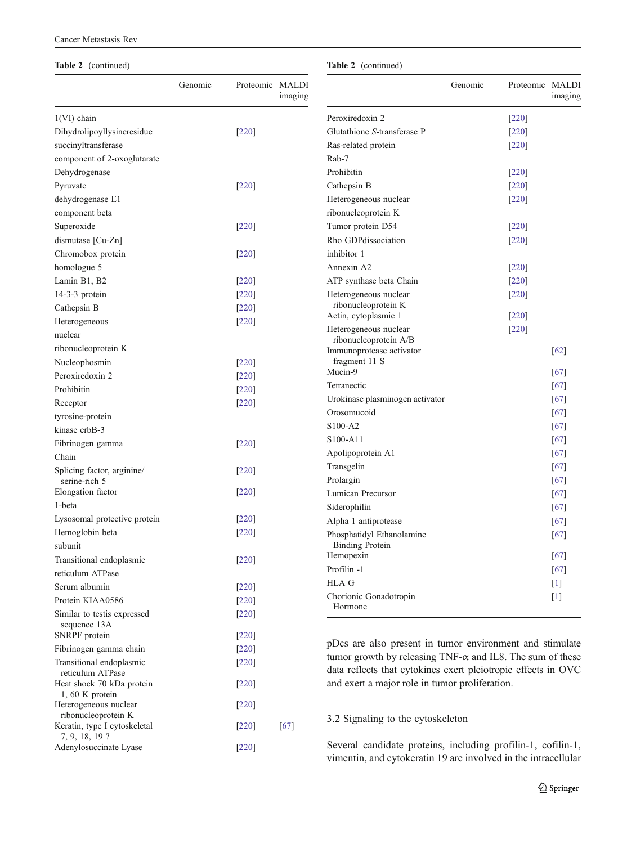# Cancer Metastasis Rev

### Table 2 (continued)

|                                               | Genomic | Proteomic MALDI     | imaging |
|-----------------------------------------------|---------|---------------------|---------|
| $1(VI)$ chain                                 |         |                     |         |
| Dihydrolipoyllysineresidue                    |         | $[220]$             |         |
| succinyltransferase                           |         |                     |         |
| component of 2-oxoglutarate                   |         |                     |         |
| Dehydrogenase                                 |         |                     |         |
| Pyruvate                                      |         | $[220]$             |         |
| dehydrogenase E1                              |         |                     |         |
| component beta                                |         |                     |         |
| Superoxide                                    |         | [220]               |         |
| dismutase [Cu-Zn]                             |         |                     |         |
| Chromobox protein                             |         | $[220]$             |         |
| homologue 5                                   |         |                     |         |
| Lamin B1, B2                                  |         | [220]               |         |
| $14-3-3$ protein                              |         | [220]               |         |
| Cathepsin B                                   |         | $[220]$             |         |
| Heterogeneous                                 |         | $[220]$             |         |
| nuclear                                       |         |                     |         |
| ribonucleoprotein K                           |         |                     |         |
| Nucleophosmin                                 |         | $\lceil 220 \rceil$ |         |
| Peroxiredoxin 2                               |         | $\lceil 220 \rceil$ |         |
| Prohibitin                                    |         | $[220]$             |         |
| Receptor                                      |         | $[220]$             |         |
| tyrosine-protein                              |         |                     |         |
| kinase erbB-3                                 |         |                     |         |
| Fibrinogen gamma                              |         | $[220]$             |         |
| Chain                                         |         |                     |         |
| Splicing factor, arginine/                    |         | [220]               |         |
| serine-rich 5<br>Elongation factor            |         | [220]               |         |
| 1-beta                                        |         |                     |         |
| Lysosomal protective protein                  |         | [220]               |         |
| Hemoglobin beta                               |         | [220]               |         |
| subunit                                       |         |                     |         |
| Transitional endoplasmic                      |         | $[220]$             |         |
| reticulum ATPase                              |         |                     |         |
| Serum albumin                                 |         | $[220]$             |         |
| Protein KIAA0586                              |         | $[220]$             |         |
| Similar to test is expressed                  |         | $[220]$             |         |
| sequence 13A<br>SNRPF protein                 |         | [220]               |         |
| Fibrinogen gamma chain                        |         | $[220]$             |         |
| Transitional endoplasmic                      |         | $[220]$             |         |
| reticulum ATPase<br>Heat shock 70 kDa protein |         | $[220]$             |         |
| 1, 60 K protein<br>Heterogeneous nuclear      |         | $[220]$             |         |
| ribonucleoprotein K                           |         |                     |         |
| Keratin, type I cytoskeletal<br>7, 9, 18, 19? |         | $[220]$             | [67]    |
| Adenylosuccinate Lyase                        |         | $[220]$             |         |

|  | Table 2 (continued) |
|--|---------------------|
|--|---------------------|

|                                                     | Genomic | Proteomic | MALDI<br>imaging  |
|-----------------------------------------------------|---------|-----------|-------------------|
| Peroxiredoxin 2                                     |         | [220]     |                   |
| Glutathione S-transferase P                         |         | $[220]$   |                   |
| Ras-related protein                                 |         | $[220]$   |                   |
| Rab-7                                               |         |           |                   |
| Prohibitin                                          |         | $[220]$   |                   |
| Cathepsin B                                         |         | $[220]$   |                   |
| Heterogeneous nuclear                               |         | $[220]$   |                   |
| ribonucleoprotein K                                 |         |           |                   |
| Tumor protein D54                                   |         | [220]     |                   |
| Rho GDP dissociation                                |         | $[220]$   |                   |
| inhibitor 1                                         |         |           |                   |
| Annexin A2                                          |         | $[220]$   |                   |
| ATP synthase beta Chain                             |         | $[220]$   |                   |
| Heterogeneous nuclear<br>ribonucleoprotein K        |         | $[220]$   |                   |
| Actin, cytoplasmic 1                                |         | [220]     |                   |
| Heterogeneous nuclear<br>ribonucleoprotein A/B      |         | $[220]$   |                   |
| Immunoprotease activator<br>fragment 11 S           |         |           | [62]              |
| Mucin-9                                             |         |           | [67]              |
| Tetranectic                                         |         |           | [67]              |
| Urokinase plasminogen activator                     |         |           | [67]              |
| Orosomucoid                                         |         |           | $[67]$            |
| S <sub>100</sub> -A <sub>2</sub>                    |         |           | [67]              |
| S100-A11                                            |         |           | [67]              |
| Apolipoprotein A1                                   |         |           | [67]              |
| Transgelin                                          |         |           | [67]              |
| Prolargin                                           |         |           | $[67]$            |
| <b>Lumican Precursor</b>                            |         |           | [67]              |
| Siderophilin                                        |         |           | [67]              |
| Alpha 1 antiprotease                                |         |           | [67]              |
| Phosphatidyl Ethanolamine<br><b>Binding Protein</b> |         |           | $[67]$            |
| Hemopexin<br>Profilin -1                            |         |           | [67]              |
| HLA G                                               |         |           | [67]              |
|                                                     |         |           | $[1]$             |
| Chorionic Gonadotropin<br>Hormone                   |         |           | $\lceil 1 \rceil$ |

pDcs are also present in tumor environment and stimulate tumor growth by releasing TNF-α and IL8. The sum of these data reflects that cytokines exert pleiotropic effects in OVC and exert a major role in tumor proliferation.

# 3.2 Signaling to the cytoskeleton

Several candidate proteins, including profilin-1, cofilin-1, vimentin, and cytokeratin 19 are involved in the intracellular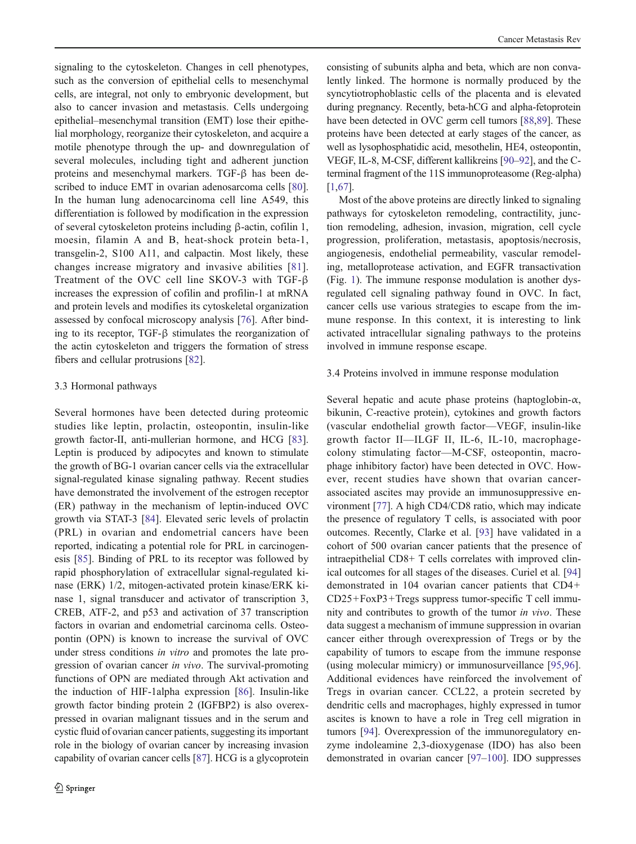signaling to the cytoskeleton. Changes in cell phenotypes, such as the conversion of epithelial cells to mesenchymal cells, are integral, not only to embryonic development, but also to cancer invasion and metastasis. Cells undergoing epithelial–mesenchymal transition (EMT) lose their epithelial morphology, reorganize their cytoskeleton, and acquire a motile phenotype through the up- and downregulation of several molecules, including tight and adherent junction proteins and mesenchymal markers. TGF-β has been described to induce EMT in ovarian adenosarcoma cells [\[80](#page-15-0)]. In the human lung adenocarcinoma cell line A549, this differentiation is followed by modification in the expression of several cytoskeleton proteins including β-actin, cofilin 1, moesin, filamin A and B, heat-shock protein beta-1, transgelin-2, S100 A11, and calpactin. Most likely, these changes increase migratory and invasive abilities [[81](#page-15-0)]. Treatment of the OVC cell line SKOV-3 with TGF-β increases the expression of cofilin and profilin-1 at mRNA and protein levels and modifies its cytoskeletal organization assessed by confocal microscopy analysis [[76\]](#page-15-0). After binding to its receptor, TGF-β stimulates the reorganization of the actin cytoskeleton and triggers the formation of stress fibers and cellular protrusions [[82\]](#page-15-0).

#### 3.3 Hormonal pathways

Several hormones have been detected during proteomic studies like leptin, prolactin, osteopontin, insulin-like growth factor-II, anti-mullerian hormone, and HCG [\[83](#page-15-0)]. Leptin is produced by adipocytes and known to stimulate the growth of BG-1 ovarian cancer cells via the extracellular signal-regulated kinase signaling pathway. Recent studies have demonstrated the involvement of the estrogen receptor (ER) pathway in the mechanism of leptin-induced OVC growth via STAT-3 [[84\]](#page-15-0). Elevated seric levels of prolactin (PRL) in ovarian and endometrial cancers have been reported, indicating a potential role for PRL in carcinogenesis [[85\]](#page-15-0). Binding of PRL to its receptor was followed by rapid phosphorylation of extracellular signal-regulated kinase (ERK) 1/2, mitogen-activated protein kinase/ERK kinase 1, signal transducer and activator of transcription 3, CREB, ATF-2, and p53 and activation of 37 transcription factors in ovarian and endometrial carcinoma cells. Osteopontin (OPN) is known to increase the survival of OVC under stress conditions in vitro and promotes the late progression of ovarian cancer in vivo. The survival-promoting functions of OPN are mediated through Akt activation and the induction of HIF-1alpha expression [\[86](#page-15-0)]. Insulin-like growth factor binding protein 2 (IGFBP2) is also overexpressed in ovarian malignant tissues and in the serum and cystic fluid of ovarian cancer patients, suggesting its important role in the biology of ovarian cancer by increasing invasion capability of ovarian cancer cells [[87\]](#page-15-0). HCG is a glycoprotein consisting of subunits alpha and beta, which are non convalently linked. The hormone is normally produced by the syncytiotrophoblastic cells of the placenta and is elevated during pregnancy. Recently, beta-hCG and alpha-fetoprotein have been detected in OVC germ cell tumors [[88](#page-15-0),[89\]](#page-15-0). These proteins have been detected at early stages of the cancer, as well as lysophosphatidic acid, mesothelin, HE4, osteopontin, VEGF, IL-8, M-CSF, different kallikreins [[90](#page-15-0)–[92](#page-16-0)], and the Cterminal fragment of the 11S immunoproteasome (Reg-alpha) [\[1](#page-13-0),[67](#page-15-0)].

Most of the above proteins are directly linked to signaling pathways for cytoskeleton remodeling, contractility, junction remodeling, adhesion, invasion, migration, cell cycle progression, proliferation, metastasis, apoptosis/necrosis, angiogenesis, endothelial permeability, vascular remodeling, metalloprotease activation, and EGFR transactivation (Fig. [1\)](#page-6-0). The immune response modulation is another dysregulated cell signaling pathway found in OVC. In fact, cancer cells use various strategies to escape from the immune response. In this context, it is interesting to link activated intracellular signaling pathways to the proteins involved in immune response escape.

#### 3.4 Proteins involved in immune response modulation

Several hepatic and acute phase proteins (haptoglobin- $\alpha$ , bikunin, C-reactive protein), cytokines and growth factors (vascular endothelial growth factor—VEGF, insulin-like growth factor II—ILGF II, IL-6, IL-10, macrophagecolony stimulating factor—M-CSF, osteopontin, macrophage inhibitory factor) have been detected in OVC. However, recent studies have shown that ovarian cancerassociated ascites may provide an immunosuppressive environment [[77\]](#page-15-0). A high CD4/CD8 ratio, which may indicate the presence of regulatory T cells, is associated with poor outcomes. Recently, Clarke et al. [[93\]](#page-16-0) have validated in a cohort of 500 ovarian cancer patients that the presence of intraepithelial CD8+ T cells correlates with improved clinical outcomes for all stages of the diseases. Curiel et al. [\[94](#page-16-0)] demonstrated in 104 ovarian cancer patients that CD4+ CD25+FoxP3+Tregs suppress tumor-specific T cell immunity and contributes to growth of the tumor in vivo. These data suggest a mechanism of immune suppression in ovarian cancer either through overexpression of Tregs or by the capability of tumors to escape from the immune response (using molecular mimicry) or immunosurveillance [\[95](#page-16-0),[96\]](#page-16-0). Additional evidences have reinforced the involvement of Tregs in ovarian cancer. CCL22, a protein secreted by dendritic cells and macrophages, highly expressed in tumor ascites is known to have a role in Treg cell migration in tumors [[94\]](#page-16-0). Overexpression of the immunoregulatory enzyme indoleamine 2,3-dioxygenase (IDO) has also been demonstrated in ovarian cancer [\[97](#page-16-0)–[100\]](#page-16-0). IDO suppresses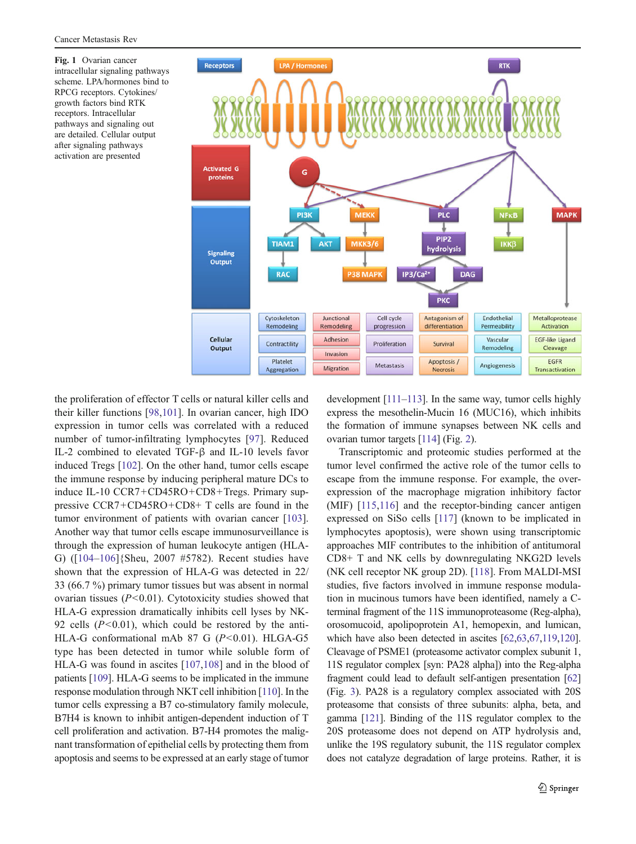<span id="page-6-0"></span>Fig. 1 Ovarian cancer intracellular signaling pathways scheme. LPA/hormones bind to RPCG receptors. Cytokines/ growth factors bind RTK receptors. Intracellular pathways and signaling out are detailed. Cellular output after signaling pathways activation are presented



the proliferation of effector T cells or natural killer cells and their killer functions [\[98](#page-16-0),[101\]](#page-16-0). In ovarian cancer, high IDO expression in tumor cells was correlated with a reduced number of tumor-infiltrating lymphocytes [\[97](#page-16-0)]. Reduced IL-2 combined to elevated TGF-β and IL-10 levels favor induced Tregs [[102\]](#page-16-0). On the other hand, tumor cells escape the immune response by inducing peripheral mature DCs to induce IL-10 CCR7+CD45RO+CD8+Tregs. Primary suppressive CCR7+CD45RO+CD8+ T cells are found in the tumor environment of patients with ovarian cancer [\[103](#page-16-0)]. Another way that tumor cells escape immunosurveillance is through the expression of human leukocyte antigen (HLA-G) ([[104](#page-16-0)–[106](#page-16-0)]{Sheu, 2007 #5782). Recent studies have shown that the expression of HLA-G was detected in 22/ 33 (66.7 %) primary tumor tissues but was absent in normal ovarian tissues  $(P<0.01)$ . Cytotoxicity studies showed that HLA-G expression dramatically inhibits cell lyses by NK-92 cells  $(P<0.01)$ , which could be restored by the anti-HLA-G conformational mAb 87 G  $(P<0.01)$ . HLGA-G5 type has been detected in tumor while soluble form of HLA-G was found in ascites [[107,108](#page-16-0)] and in the blood of patients [[109](#page-16-0)]. HLA-G seems to be implicated in the immune response modulation through NKT cell inhibition [\[110\]](#page-16-0). In the tumor cells expressing a B7 co-stimulatory family molecule, B7H4 is known to inhibit antigen-dependent induction of T cell proliferation and activation. B7-H4 promotes the malignant transformation of epithelial cells by protecting them from apoptosis and seems to be expressed at an early stage of tumor

development [\[111](#page-16-0)–[113](#page-16-0)]. In the same way, tumor cells highly express the mesothelin-Mucin 16 (MUC16), which inhibits the formation of immune synapses between NK cells and ovarian tumor targets [[114](#page-16-0)] (Fig. [2\)](#page-7-0).

Transcriptomic and proteomic studies performed at the tumor level confirmed the active role of the tumor cells to escape from the immune response. For example, the overexpression of the macrophage migration inhibitory factor (MIF) [\[115,116](#page-16-0)] and the receptor-binding cancer antigen expressed on SiSo cells [\[117](#page-16-0)] (known to be implicated in lymphocytes apoptosis), were shown using transcriptomic approaches MIF contributes to the inhibition of antitumoral CD8+ T and NK cells by downregulating NKG2D levels (NK cell receptor NK group 2D). [\[118\]](#page-16-0). From MALDI-MSI studies, five factors involved in immune response modulation in mucinous tumors have been identified, namely a Cterminal fragment of the 11S immunoproteasome (Reg-alpha), orosomucoid, apolipoprotein A1, hemopexin, and lumican, which have also been detected in ascites [\[62,63,67,](#page-15-0)[119,120\]](#page-16-0). Cleavage of PSME1 (proteasome activator complex subunit 1, 11S regulator complex [syn: PA28 alpha]) into the Reg-alpha fragment could lead to default self-antigen presentation [\[62](#page-15-0)] (Fig. [3](#page-8-0)). PA28 is a regulatory complex associated with 20S proteasome that consists of three subunits: alpha, beta, and gamma [\[121\]](#page-16-0). Binding of the 11S regulator complex to the 20S proteasome does not depend on ATP hydrolysis and, unlike the 19S regulatory subunit, the 11S regulator complex does not catalyze degradation of large proteins. Rather, it is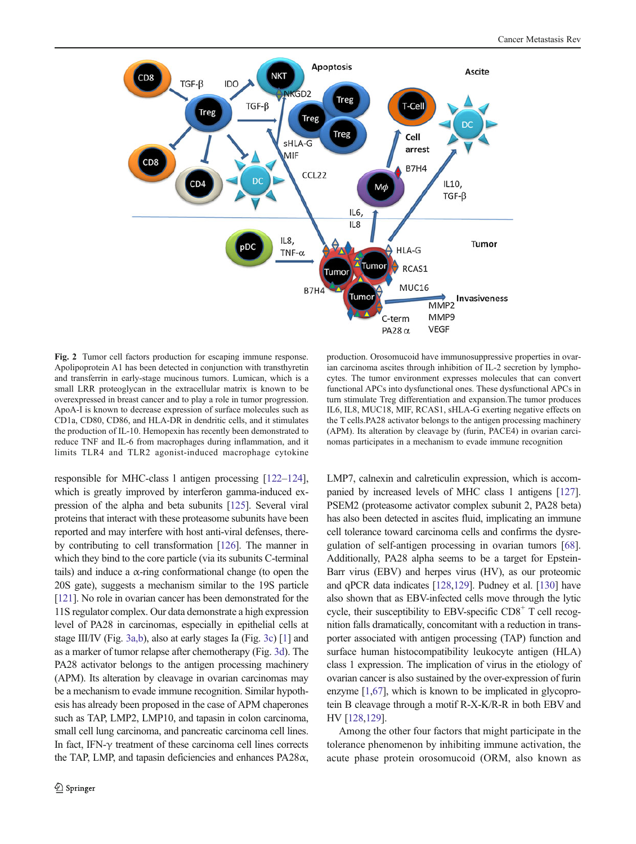<span id="page-7-0"></span>

Fig. 2 Tumor cell factors production for escaping immune response. Apolipoprotein A1 has been detected in conjunction with transthyretin and transferrin in early-stage mucinous tumors. Lumican, which is a small LRR proteoglycan in the extracellular matrix is known to be overexpressed in breast cancer and to play a role in tumor progression. ApoA-I is known to decrease expression of surface molecules such as CD1a, CD80, CD86, and HLA-DR in dendritic cells, and it stimulates the production of IL-10. Hemopexin has recently been demonstrated to reduce TNF and IL-6 from macrophages during inflammation, and it limits TLR4 and TLR2 agonist-induced macrophage cytokine

responsible for MHC-class l antigen processing [[122](#page-16-0)–[124\]](#page-16-0), which is greatly improved by interferon gamma-induced expression of the alpha and beta subunits [[125\]](#page-16-0). Several viral proteins that interact with these proteasome subunits have been reported and may interfere with host anti-viral defenses, thereby contributing to cell transformation [\[126\]](#page-16-0). The manner in which they bind to the core particle (via its subunits C-terminal tails) and induce a  $\alpha$ -ring conformational change (to open the 20S gate), suggests a mechanism similar to the 19S particle [\[121](#page-16-0)]. No role in ovarian cancer has been demonstrated for the 11S regulator complex. Our data demonstrate a high expression level of PA28 in carcinomas, especially in epithelial cells at stage III/IV (Fig. [3a,b](#page-8-0)), also at early stages Ia (Fig. [3c\)](#page-8-0) [[1](#page-13-0)] and as a marker of tumor relapse after chemotherapy (Fig. [3d](#page-8-0)). The PA28 activator belongs to the antigen processing machinery (APM). Its alteration by cleavage in ovarian carcinomas may be a mechanism to evade immune recognition. Similar hypothesis has already been proposed in the case of APM chaperones such as TAP, LMP2, LMP10, and tapasin in colon carcinoma, small cell lung carcinoma, and pancreatic carcinoma cell lines. In fact, IFN- $\gamma$  treatment of these carcinoma cell lines corrects the TAP, LMP, and tapasin deficiencies and enhances  $PA28\alpha$ ,

production. Orosomucoid have immunosuppressive properties in ovarian carcinoma ascites through inhibition of IL-2 secretion by lymphocytes. The tumor environment expresses molecules that can convert functional APCs into dysfunctional ones. These dysfunctional APCs in turn stimulate Treg differentiation and expansion.The tumor produces IL6, IL8, MUC18, MIF, RCAS1, sHLA-G exerting negative effects on the T cells.PA28 activator belongs to the antigen processing machinery (APM). Its alteration by cleavage by (furin, PACE4) in ovarian carcinomas participates in a mechanism to evade immune recognition

LMP7, calnexin and calreticulin expression, which is accompanied by increased levels of MHC class 1 antigens [\[127\]](#page-16-0). PSEM2 (proteasome activator complex subunit 2, PA28 beta) has also been detected in ascites fluid, implicating an immune cell tolerance toward carcinoma cells and confirms the dysregulation of self-antigen processing in ovarian tumors [[68\]](#page-15-0). Additionally, PA28 alpha seems to be a target for Epstein-Barr virus (EBV) and herpes virus (HV), as our proteomic and qPCR data indicates [\[128,129](#page-17-0)]. Pudney et al. [\[130\]](#page-17-0) have also shown that as EBV-infected cells move through the lytic cycle, their susceptibility to EBV-specific  $CD8<sup>+</sup>$  T cell recognition falls dramatically, concomitant with a reduction in transporter associated with antigen processing (TAP) function and surface human histocompatibility leukocyte antigen (HLA) class 1 expression. The implication of virus in the etiology of ovarian cancer is also sustained by the over-expression of furin enzyme [\[1,](#page-13-0)[67\]](#page-15-0), which is known to be implicated in glycoprotein B cleavage through a motif R-X-K/R-R in both EBV and HV [\[128](#page-17-0),[129](#page-17-0)].

Among the other four factors that might participate in the tolerance phenomenon by inhibiting immune activation, the acute phase protein orosomucoid (ORM, also known as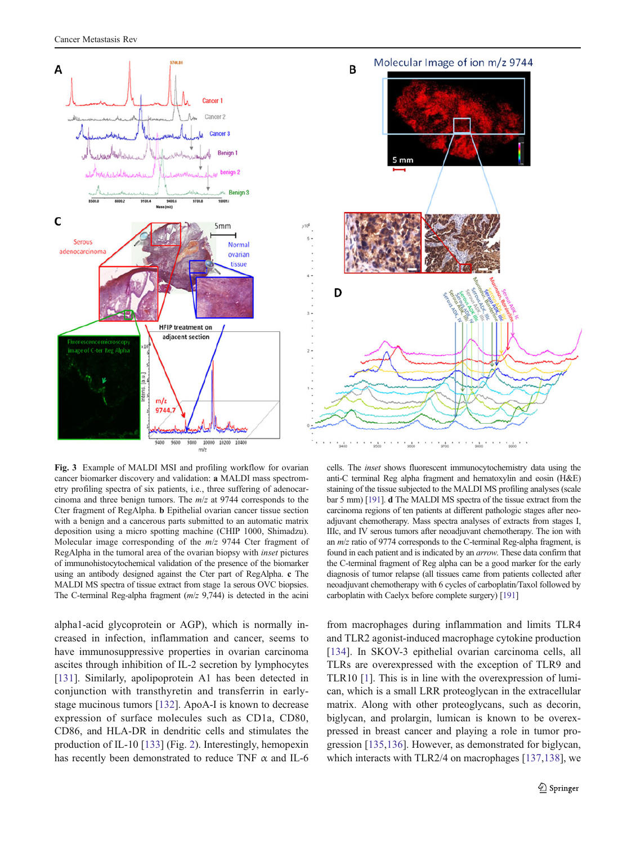<span id="page-8-0"></span>



Fig. 3 Example of MALDI MSI and profiling workflow for ovarian cancer biomarker discovery and validation: a MALDI mass spectrometry profiling spectra of six patients, i.e., three suffering of adenocarcinoma and three benign tumors. The  $m/z$  at 9744 corresponds to the Cter fragment of RegAlpha. b Epithelial ovarian cancer tissue section with a benign and a cancerous parts submitted to an automatic matrix deposition using a micro spotting machine (CHIP 1000, Shimadzu). Molecular image corresponding of the m/z 9744 Cter fragment of RegAlpha in the tumoral area of the ovarian biopsy with inset pictures of immunohistocytochemical validation of the presence of the biomarker using an antibody designed against the Cter part of RegAlpha. c The MALDI MS spectra of tissue extract from stage 1a serous OVC biopsies.

The C-terminal Reg-alpha fragment  $(m/z 9,744)$  is detected in the acini

alpha1-acid glycoprotein or AGP), which is normally increased in infection, inflammation and cancer, seems to have immunosuppressive properties in ovarian carcinoma ascites through inhibition of IL-2 secretion by lymphocytes [\[131](#page-17-0)]. Similarly, apolipoprotein A1 has been detected in conjunction with transthyretin and transferrin in earlystage mucinous tumors [[132\]](#page-17-0). ApoA-I is known to decrease expression of surface molecules such as CD1a, CD80, CD86, and HLA-DR in dendritic cells and stimulates the production of IL-10 [\[133](#page-17-0)] (Fig. [2\)](#page-7-0). Interestingly, hemopexin has recently been demonstrated to reduce TNF  $\alpha$  and IL-6

cells. The inset shows fluorescent immunocytochemistry data using the anti-C terminal Reg alpha fragment and hematoxylin and eosin (H&E) staining of the tissue subjected to the MALDI MS profiling analyses (scale bar 5 mm) [[191\]](#page-18-0). d The MALDI MS spectra of the tissue extract from the carcinoma regions of ten patients at different pathologic stages after neoadjuvant chemotherapy. Mass spectra analyses of extracts from stages I, IIIc, and IV serous tumors after neoadjuvant chemotherapy. The ion with an m/z ratio of 9774 corresponds to the C-terminal Reg-alpha fragment, is found in each patient and is indicated by an arrow. These data confirm that the C-terminal fragment of Reg alpha can be a good marker for the early diagnosis of tumor relapse (all tissues came from patients collected after neoadjuvant chemotherapy with 6 cycles of carboplatin/Taxol followed by carboplatin with Caelyx before complete surgery) [\[191](#page-18-0)]

from macrophages during inflammation and limits TLR4 and TLR2 agonist-induced macrophage cytokine production [\[134\]](#page-17-0). In SKOV-3 epithelial ovarian carcinoma cells, all TLRs are overexpressed with the exception of TLR9 and TLR10 [\[1](#page-13-0)]. This is in line with the overexpression of lumican, which is a small LRR proteoglycan in the extracellular matrix. Along with other proteoglycans, such as decorin, biglycan, and prolargin, lumican is known to be overexpressed in breast cancer and playing a role in tumor progression [[135,136](#page-17-0)]. However, as demonstrated for biglycan, which interacts with TLR2/4 on macrophages [\[137](#page-17-0),[138\]](#page-17-0), we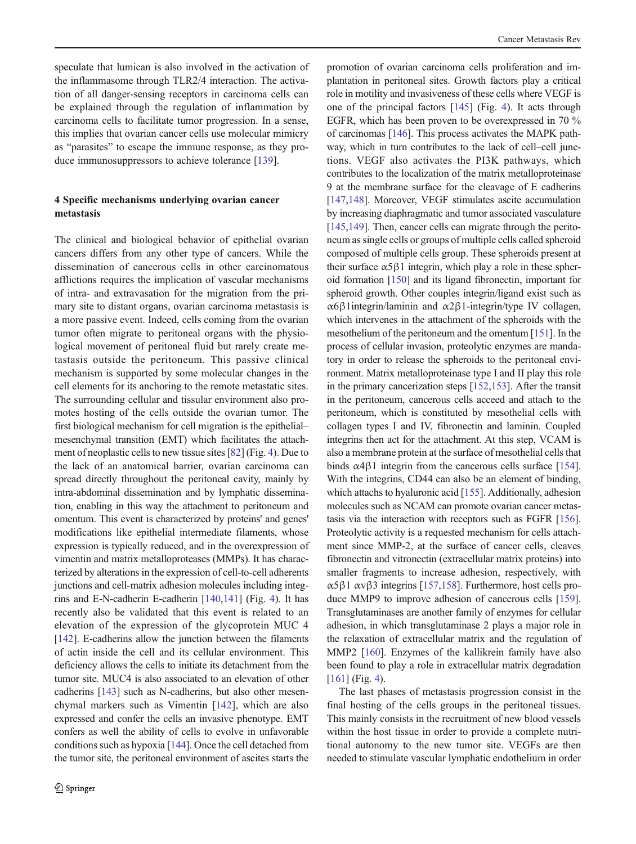speculate that lumican is also involved in the activation of the inflammasome through TLR2/4 interaction. The activation of all danger-sensing receptors in carcinoma cells can be explained through the regulation of inflammation by carcinoma cells to facilitate tumor progression. In a sense, this implies that ovarian cancer cells use molecular mimicry as "parasites" to escape the immune response, as they produce immunosuppressors to achieve tolerance [\[139](#page-17-0)].

## 4 Specific mechanisms underlying ovarian cancer metastasis

The clinical and biological behavior of epithelial ovarian cancers differs from any other type of cancers. While the dissemination of cancerous cells in other carcinomatous afflictions requires the implication of vascular mechanisms of intra- and extravasation for the migration from the primary site to distant organs, ovarian carcinoma metastasis is a more passive event. Indeed, cells coming from the ovarian tumor often migrate to peritoneal organs with the physiological movement of peritoneal fluid but rarely create metastasis outside the peritoneum. This passive clinical mechanism is supported by some molecular changes in the cell elements for its anchoring to the remote metastatic sites. The surrounding cellular and tissular environment also promotes hosting of the cells outside the ovarian tumor. The first biological mechanism for cell migration is the epithelial– mesenchymal transition (EMT) which facilitates the attachment of neoplastic cells to new tissue sites [[82\]](#page-15-0) (Fig. [4\)](#page-10-0). Due to the lack of an anatomical barrier, ovarian carcinoma can spread directly throughout the peritoneal cavity, mainly by intra-abdominal dissemination and by lymphatic dissemination, enabling in this way the attachment to peritoneum and omentum. This event is characterized by proteins' and genes' modifications like epithelial intermediate filaments, whose expression is typically reduced, and in the overexpression of vimentin and matrix metalloproteases (MMPs). It has characterized by alterations in the expression of cell-to-cell adherents junctions and cell-matrix adhesion molecules including integrins and E-N-cadherin E-cadherin [\[140,141\]](#page-17-0) (Fig. [4](#page-10-0)). It has recently also be validated that this event is related to an elevation of the expression of the glycoprotein MUC 4 [\[142\]](#page-17-0). E-cadherins allow the junction between the filaments of actin inside the cell and its cellular environment. This deficiency allows the cells to initiate its detachment from the tumor site. MUC4 is also associated to an elevation of other cadherins [[143](#page-17-0)] such as N-cadherins, but also other mesenchymal markers such as Vimentin [\[142](#page-17-0)], which are also expressed and confer the cells an invasive phenotype. EMT confers as well the ability of cells to evolve in unfavorable conditions such as hypoxia [[144](#page-17-0)]. Once the cell detached from the tumor site, the peritoneal environment of ascites starts the

promotion of ovarian carcinoma cells proliferation and implantation in peritoneal sites. Growth factors play a critical role in motility and invasiveness of these cells where VEGF is one of the principal factors [\[145\]](#page-17-0) (Fig. [4\)](#page-10-0). It acts through EGFR, which has been proven to be overexpressed in 70 % of carcinomas [\[146\]](#page-17-0). This process activates the MAPK pathway, which in turn contributes to the lack of cell–cell junctions. VEGF also activates the PI3K pathways, which contributes to the localization of the matrix metalloproteinase 9 at the membrane surface for the cleavage of E cadherins [\[147,148](#page-17-0)]. Moreover, VEGF stimulates ascite accumulation by increasing diaphragmatic and tumor associated vasculature [\[145,149](#page-17-0)]. Then, cancer cells can migrate through the peritoneum as single cells or groups of multiple cells called spheroid composed of multiple cells group. These spheroids present at their surface  $\alpha$ 5β1 integrin, which play a role in these spheroid formation [\[150\]](#page-17-0) and its ligand fibronectin, important for spheroid growth. Other couples integrin/ligand exist such as α6β1integrin/laminin and α2β1-integrin/type IV collagen, which intervenes in the attachment of the spheroids with the mesothelium of the peritoneum and the omentum [\[151\]](#page-17-0). In the process of cellular invasion, proteolytic enzymes are mandatory in order to release the spheroids to the peritoneal environment. Matrix metalloproteinase type I and II play this role in the primary cancerization steps [\[152,153\]](#page-17-0). After the transit in the peritoneum, cancerous cells acceed and attach to the peritoneum, which is constituted by mesothelial cells with collagen types I and IV, fibronectin and laminin. Coupled integrins then act for the attachment. At this step, VCAM is also a membrane protein at the surface of mesothelial cells that binds  $\alpha$ 4β1 integrin from the cancerous cells surface [\[154\]](#page-17-0). With the integrins, CD44 can also be an element of binding, which attachs to hyaluronic acid [[155](#page-17-0)]. Additionally, adhesion molecules such as NCAM can promote ovarian cancer metastasis via the interaction with receptors such as FGFR [\[156\]](#page-17-0). Proteolytic activity is a requested mechanism for cells attachment since MMP-2, at the surface of cancer cells, cleaves fibronectin and vitronectin (extracellular matrix proteins) into smaller fragments to increase adhesion, respectively, with α5β1 αvβ3 integrins [\[157,158\]](#page-17-0). Furthermore, host cells produce MMP9 to improve adhesion of cancerous cells [\[159\]](#page-17-0). Transglutaminases are another family of enzymes for cellular adhesion, in which transglutaminase 2 plays a major role in the relaxation of extracellular matrix and the regulation of MMP2 [[160](#page-17-0)]. Enzymes of the kallikrein family have also been found to play a role in extracellular matrix degradation [\[161\]](#page-17-0) (Fig. [4\)](#page-10-0).

The last phases of metastasis progression consist in the final hosting of the cells groups in the peritoneal tissues. This mainly consists in the recruitment of new blood vessels within the host tissue in order to provide a complete nutritional autonomy to the new tumor site. VEGFs are then needed to stimulate vascular lymphatic endothelium in order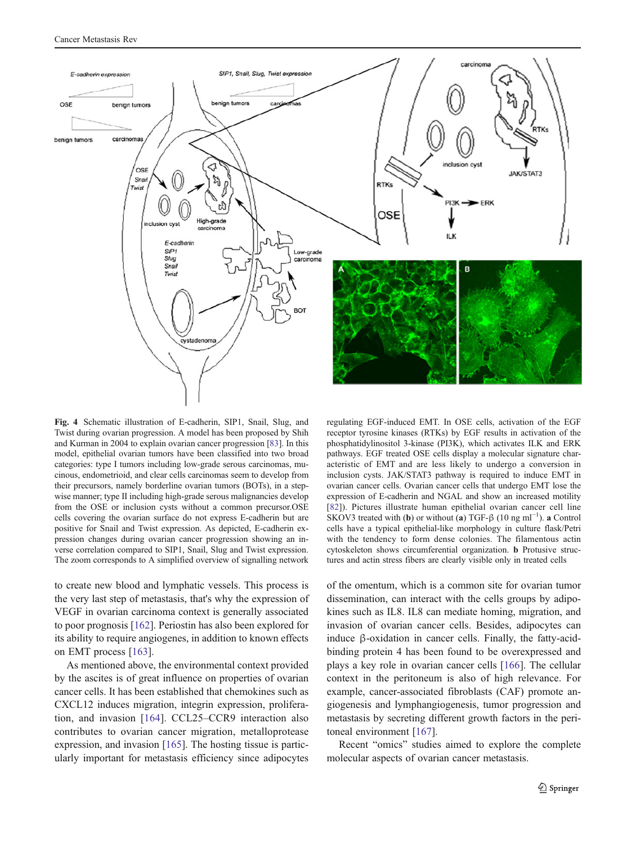<span id="page-10-0"></span>

Fig. 4 Schematic illustration of E-cadherin, SIP1, Snail, Slug, and Twist during ovarian progression. A model has been proposed by Shih and Kurman in 2004 to explain ovarian cancer progression [[83](#page-15-0)]. In this model, epithelial ovarian tumors have been classified into two broad categories: type I tumors including low-grade serous carcinomas, mucinous, endometrioid, and clear cells carcinomas seem to develop from their precursors, namely borderline ovarian tumors (BOTs), in a stepwise manner; type II including high-grade serous malignancies develop from the OSE or inclusion cysts without a common precursor.OSE cells covering the ovarian surface do not express E-cadherin but are positive for Snail and Twist expression. As depicted, E-cadherin expression changes during ovarian cancer progression showing an inverse correlation compared to SIP1, Snail, Slug and Twist expression. The zoom corresponds to A simplified overview of signalling network

to create new blood and lymphatic vessels. This process is the very last step of metastasis, that's why the expression of VEGF in ovarian carcinoma context is generally associated to poor prognosis [[162\]](#page-18-0). Periostin has also been explored for its ability to require angiogenes, in addition to known effects on EMT process [[163\]](#page-18-0).

As mentioned above, the environmental context provided by the ascites is of great influence on properties of ovarian cancer cells. It has been established that chemokines such as CXCL12 induces migration, integrin expression, proliferation, and invasion [[164](#page-18-0)]. CCL25–CCR9 interaction also contributes to ovarian cancer migration, metalloprotease expression, and invasion [\[165](#page-18-0)]. The hosting tissue is particularly important for metastasis efficiency since adipocytes

regulating EGF-induced EMT. In OSE cells, activation of the EGF receptor tyrosine kinases (RTKs) by EGF results in activation of the phosphatidylinositol 3-kinase (PI3K), which activates ILK and ERK pathways. EGF treated OSE cells display a molecular signature characteristic of EMT and are less likely to undergo a conversion in inclusion cysts. JAK/STAT3 pathway is required to induce EMT in ovarian cancer cells. Ovarian cancer cells that undergo EMT lose the expression of E-cadherin and NGAL and show an increased motility [[82\]](#page-15-0)). Pictures illustrate human epithelial ovarian cancer cell line SKOV3 treated with (b) or without (a) TGF- $\beta$  (10 ng ml<sup>-1</sup>). a Control cells have a typical epithelial-like morphology in culture flask/Petri with the tendency to form dense colonies. The filamentous actin cytoskeleton shows circumferential organization. b Protusive structures and actin stress fibers are clearly visible only in treated cells

of the omentum, which is a common site for ovarian tumor dissemination, can interact with the cells groups by adipokines such as IL8. IL8 can mediate homing, migration, and invasion of ovarian cancer cells. Besides, adipocytes can induce β-oxidation in cancer cells. Finally, the fatty-acidbinding protein 4 has been found to be overexpressed and plays a key role in ovarian cancer cells [\[166](#page-18-0)]. The cellular context in the peritoneum is also of high relevance. For example, cancer-associated fibroblasts (CAF) promote angiogenesis and lymphangiogenesis, tumor progression and metastasis by secreting different growth factors in the peritoneal environment [\[167](#page-18-0)].

Recent "omics" studies aimed to explore the complete molecular aspects of ovarian cancer metastasis.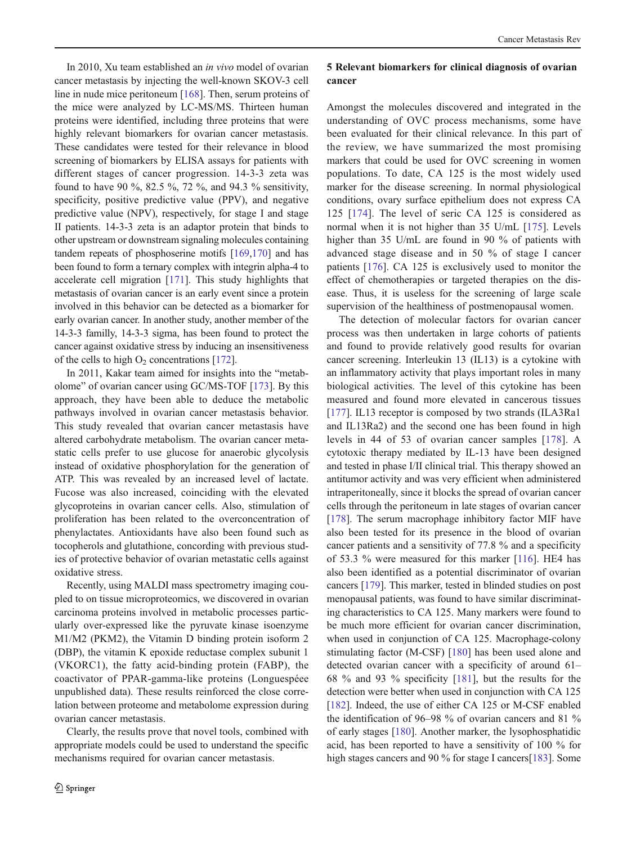In 2010, Xu team established an in vivo model of ovarian cancer metastasis by injecting the well-known SKOV-3 cell line in nude mice peritoneum [[168\]](#page-18-0). Then, serum proteins of the mice were analyzed by LC-MS/MS. Thirteen human proteins were identified, including three proteins that were highly relevant biomarkers for ovarian cancer metastasis. These candidates were tested for their relevance in blood screening of biomarkers by ELISA assays for patients with different stages of cancer progression. 14-3-3 zeta was found to have 90 %, 82.5 %, 72 %, and 94.3 % sensitivity, specificity, positive predictive value (PPV), and negative predictive value (NPV), respectively, for stage I and stage II patients. 14-3-3 zeta is an adaptor protein that binds to other upstream or downstream signaling molecules containing tandem repeats of phosphoserine motifs [\[169,170\]](#page-18-0) and has been found to form a ternary complex with integrin alpha-4 to accelerate cell migration [\[171](#page-18-0)]. This study highlights that metastasis of ovarian cancer is an early event since a protein involved in this behavior can be detected as a biomarker for early ovarian cancer. In another study, another member of the 14-3-3 familly, 14-3-3 sigma, has been found to protect the cancer against oxidative stress by inducing an insensitiveness of the cells to high  $O_2$  concentrations [\[172\]](#page-18-0).

In 2011, Kakar team aimed for insights into the "metabolome" of ovarian cancer using GC/MS-TOF [\[173](#page-18-0)]. By this approach, they have been able to deduce the metabolic pathways involved in ovarian cancer metastasis behavior. This study revealed that ovarian cancer metastasis have altered carbohydrate metabolism. The ovarian cancer metastatic cells prefer to use glucose for anaerobic glycolysis instead of oxidative phosphorylation for the generation of ATP. This was revealed by an increased level of lactate. Fucose was also increased, coinciding with the elevated glycoproteins in ovarian cancer cells. Also, stimulation of proliferation has been related to the overconcentration of phenylactates. Antioxidants have also been found such as tocopherols and glutathione, concording with previous studies of protective behavior of ovarian metastatic cells against oxidative stress.

Recently, using MALDI mass spectrometry imaging coupled to on tissue microproteomics, we discovered in ovarian carcinoma proteins involved in metabolic processes particularly over-expressed like the pyruvate kinase isoenzyme M1/M2 (PKM2), the Vitamin D binding protein isoform 2 (DBP), the vitamin K epoxide reductase complex subunit 1 (VKORC1), the fatty acid-binding protein (FABP), the coactivator of PPAR-gamma-like proteins (Longuespéee unpublished data). These results reinforced the close correlation between proteome and metabolome expression during ovarian cancer metastasis.

Clearly, the results prove that novel tools, combined with appropriate models could be used to understand the specific mechanisms required for ovarian cancer metastasis.

# 5 Relevant biomarkers for clinical diagnosis of ovarian cancer

Amongst the molecules discovered and integrated in the understanding of OVC process mechanisms, some have been evaluated for their clinical relevance. In this part of the review, we have summarized the most promising markers that could be used for OVC screening in women populations. To date, CA 125 is the most widely used marker for the disease screening. In normal physiological conditions, ovary surface epithelium does not express CA 125 [\[174\]](#page-18-0). The level of seric CA 125 is considered as normal when it is not higher than 35 U/mL [\[175](#page-18-0)]. Levels higher than 35 U/mL are found in 90 % of patients with advanced stage disease and in 50 % of stage I cancer patients [[176\]](#page-18-0). CA 125 is exclusively used to monitor the effect of chemotherapies or targeted therapies on the disease. Thus, it is useless for the screening of large scale supervision of the healthiness of postmenopausal women.

The detection of molecular factors for ovarian cancer process was then undertaken in large cohorts of patients and found to provide relatively good results for ovarian cancer screening. Interleukin 13 (IL13) is a cytokine with an inflammatory activity that plays important roles in many biological activities. The level of this cytokine has been measured and found more elevated in cancerous tissues [\[177](#page-18-0)]. IL13 receptor is composed by two strands (ILA3Ra1 and IL13Ra2) and the second one has been found in high levels in 44 of 53 of ovarian cancer samples [[178](#page-18-0)]. A cytotoxic therapy mediated by IL-13 have been designed and tested in phase I/II clinical trial. This therapy showed an antitumor activity and was very efficient when administered intraperitoneally, since it blocks the spread of ovarian cancer cells through the peritoneum in late stages of ovarian cancer [\[178](#page-18-0)]. The serum macrophage inhibitory factor MIF have also been tested for its presence in the blood of ovarian cancer patients and a sensitivity of 77.8 % and a specificity of 53.3 % were measured for this marker [[116](#page-16-0)]. HE4 has also been identified as a potential discriminator of ovarian cancers [\[179](#page-18-0)]. This marker, tested in blinded studies on post menopausal patients, was found to have similar discriminating characteristics to CA 125. Many markers were found to be much more efficient for ovarian cancer discrimination, when used in conjunction of CA 125. Macrophage-colony stimulating factor (M-CSF) [\[180](#page-18-0)] has been used alone and detected ovarian cancer with a specificity of around 61– 68 % and 93 % specificity [[181\]](#page-18-0), but the results for the detection were better when used in conjunction with CA 125 [\[182](#page-18-0)]. Indeed, the use of either CA 125 or M-CSF enabled the identification of 96–98 % of ovarian cancers and 81 % of early stages [\[180](#page-18-0)]. Another marker, the lysophosphatidic acid, has been reported to have a sensitivity of 100 % for high stages cancers and 90 % for stage I cancers [[183\]](#page-18-0). Some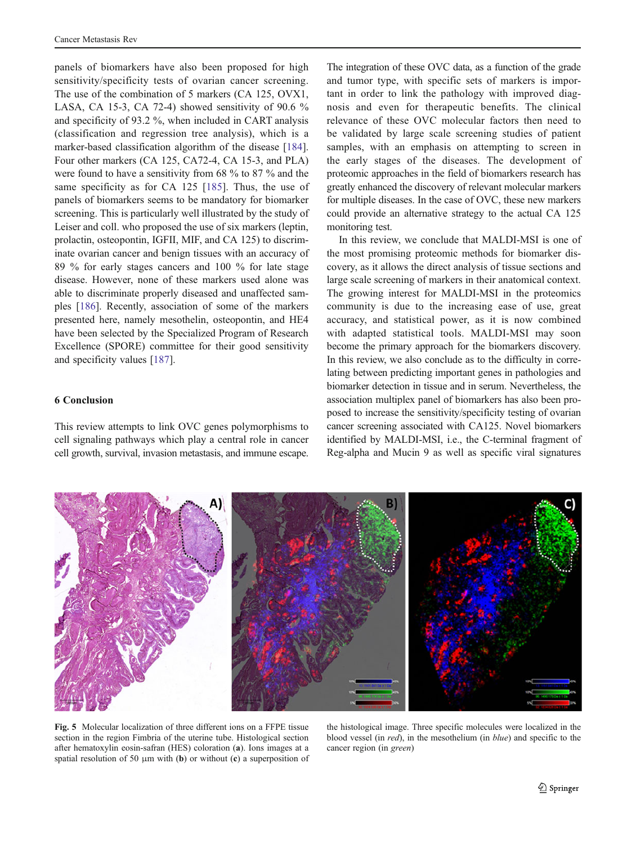<span id="page-12-0"></span>panels of biomarkers have also been proposed for high sensitivity/specificity tests of ovarian cancer screening. The use of the combination of 5 markers (CA 125, OVX1, LASA, CA 15-3, CA 72-4) showed sensitivity of 90.6 % and specificity of 93.2 %, when included in CART analysis (classification and regression tree analysis), which is a marker-based classification algorithm of the disease [\[184](#page-18-0)]. Four other markers (CA 125, CA72-4, CA 15-3, and PLA) were found to have a sensitivity from 68 % to 87 % and the same specificity as for CA 125 [\[185](#page-18-0)]. Thus, the use of panels of biomarkers seems to be mandatory for biomarker screening. This is particularly well illustrated by the study of Leiser and coll. who proposed the use of six markers (leptin, prolactin, osteopontin, IGFII, MIF, and CA 125) to discriminate ovarian cancer and benign tissues with an accuracy of 89 % for early stages cancers and 100 % for late stage disease. However, none of these markers used alone was able to discriminate properly diseased and unaffected samples [[186\]](#page-18-0). Recently, association of some of the markers presented here, namely mesothelin, osteopontin, and HE4 have been selected by the Specialized Program of Research Excellence (SPORE) committee for their good sensitivity and specificity values [[187\]](#page-18-0).

#### 6 Conclusion

This review attempts to link OVC genes polymorphisms to cell signaling pathways which play a central role in cancer cell growth, survival, invasion metastasis, and immune escape.

The integration of these OVC data, as a function of the grade and tumor type, with specific sets of markers is important in order to link the pathology with improved diagnosis and even for therapeutic benefits. The clinical relevance of these OVC molecular factors then need to be validated by large scale screening studies of patient samples, with an emphasis on attempting to screen in the early stages of the diseases. The development of proteomic approaches in the field of biomarkers research has greatly enhanced the discovery of relevant molecular markers for multiple diseases. In the case of OVC, these new markers could provide an alternative strategy to the actual CA 125 monitoring test.

In this review, we conclude that MALDI-MSI is one of the most promising proteomic methods for biomarker discovery, as it allows the direct analysis of tissue sections and large scale screening of markers in their anatomical context. The growing interest for MALDI-MSI in the proteomics community is due to the increasing ease of use, great accuracy, and statistical power, as it is now combined with adapted statistical tools. MALDI-MSI may soon become the primary approach for the biomarkers discovery. In this review, we also conclude as to the difficulty in correlating between predicting important genes in pathologies and biomarker detection in tissue and in serum. Nevertheless, the association multiplex panel of biomarkers has also been proposed to increase the sensitivity/specificity testing of ovarian cancer screening associated with CA125. Novel biomarkers identified by MALDI-MSI, i.e., the C-terminal fragment of Reg-alpha and Mucin 9 as well as specific viral signatures



Fig. 5 Molecular localization of three different ions on a FFPE tissue section in the region Fimbria of the uterine tube. Histological section after hematoxylin eosin-safran (HES) coloration (a). Ions images at a spatial resolution of 50  $\mu$ m with (b) or without (c) a superposition of

the histological image. Three specific molecules were localized in the blood vessel (in red), in the mesothelium (in blue) and specific to the cancer region (in green)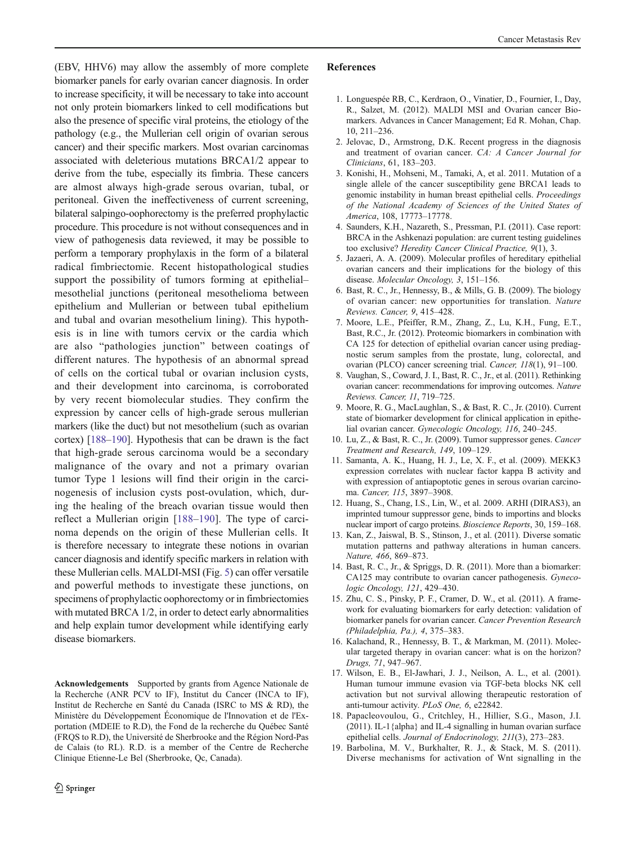<span id="page-13-0"></span>(EBV, HHV6) may allow the assembly of more complete biomarker panels for early ovarian cancer diagnosis. In order to increase specificity, it will be necessary to take into account not only protein biomarkers linked to cell modifications but also the presence of specific viral proteins, the etiology of the pathology (e.g., the Mullerian cell origin of ovarian serous cancer) and their specific markers. Most ovarian carcinomas associated with deleterious mutations BRCA1/2 appear to derive from the tube, especially its fimbria. These cancers are almost always high-grade serous ovarian, tubal, or peritoneal. Given the ineffectiveness of current screening, bilateral salpingo-oophorectomy is the preferred prophylactic procedure. This procedure is not without consequences and in view of pathogenesis data reviewed, it may be possible to perform a temporary prophylaxis in the form of a bilateral radical fimbriectomie. Recent histopathological studies support the possibility of tumors forming at epithelial– mesothelial junctions (peritoneal mesothelioma between epithelium and Mullerian or between tubal epithelium and tubal and ovarian mesothelium lining). This hypothesis is in line with tumors cervix or the cardia which are also "pathologies junction" between coatings of different natures. The hypothesis of an abnormal spread of cells on the cortical tubal or ovarian inclusion cysts, and their development into carcinoma, is corroborated by very recent biomolecular studies. They confirm the expression by cancer cells of high-grade serous mullerian markers (like the duct) but not mesothelium (such as ovarian cortex) [[188](#page-18-0)–[190\]](#page-18-0). Hypothesis that can be drawn is the fact that high-grade serous carcinoma would be a secondary malignance of the ovary and not a primary ovarian tumor Type 1 lesions will find their origin in the carcinogenesis of inclusion cysts post-ovulation, which, during the healing of the breach ovarian tissue would then reflect a Mullerian origin [[188](#page-18-0)–[190](#page-18-0)]. The type of carcinoma depends on the origin of these Mullerian cells. It is therefore necessary to integrate these notions in ovarian cancer diagnosis and identify specific markers in relation with these Mullerian cells. MALDI-MSI (Fig. [5](#page-12-0)) can offer versatile and powerful methods to investigate these junctions, on specimens of prophylactic oophorectomy or in fimbriectomies with mutated BRCA 1/2, in order to detect early abnormalities and help explain tumor development while identifying early disease biomarkers.

Acknowledgements Supported by grants from Agence Nationale de la Recherche (ANR PCV to IF), Institut du Cancer (INCA to IF), Institut de Recherche en Santé du Canada (ISRC to MS & RD), the Ministère du Développement Économique de l'Innovation et de l'Exportation (MDEIE to R.D), the Fond de la recherche du Québec Santé (FRQS to R.D), the Université de Sherbrooke and the Région Nord-Pas de Calais (to RL). R.D. is a member of the Centre de Recherche Clinique Etienne-Le Bel (Sherbrooke, Qc, Canada).

#### References

- 1. Longuespée RB, C., Kerdraon, O., Vinatier, D., Fournier, I., Day, R., Salzet, M. (2012). MALDI MSI and Ovarian cancer Biomarkers. Advances in Cancer Management; Ed R. Mohan, Chap. 10, 211–236.
- 2. Jelovac, D., Armstrong, D.K. Recent progress in the diagnosis and treatment of ovarian cancer. CA: A Cancer Journal for Clinicians, 61, 183–203.
- 3. Konishi, H., Mohseni, M., Tamaki, A, et al. 2011. Mutation of a single allele of the cancer susceptibility gene BRCA1 leads to genomic instability in human breast epithelial cells. Proceedings of the National Academy of Sciences of the United States of America, 108, 17773–17778.
- 4. Saunders, K.H., Nazareth, S., Pressman, P.I. (2011). Case report: BRCA in the Ashkenazi population: are current testing guidelines too exclusive? Heredity Cancer Clinical Practice, 9(1), 3.
- 5. Jazaeri, A. A. (2009). Molecular profiles of hereditary epithelial ovarian cancers and their implications for the biology of this disease. Molecular Oncology, 3, 151–156.
- 6. Bast, R. C., Jr., Hennessy, B., & Mills, G. B. (2009). The biology of ovarian cancer: new opportunities for translation. Nature Reviews. Cancer, 9, 415–428.
- 7. Moore, L.E., Pfeiffer, R.M., Zhang, Z., Lu, K.H., Fung, E.T., Bast, R.C., Jr. (2012). Proteomic biomarkers in combination with CA 125 for detection of epithelial ovarian cancer using prediagnostic serum samples from the prostate, lung, colorectal, and ovarian (PLCO) cancer screening trial. Cancer, 118(1), 91–100.
- 8. Vaughan, S., Coward, J. I., Bast, R. C., Jr., et al. (2011). Rethinking ovarian cancer: recommendations for improving outcomes. Nature Reviews. Cancer, 11, 719–725.
- 9. Moore, R. G., MacLaughlan, S., & Bast, R. C., Jr. (2010). Current state of biomarker development for clinical application in epithelial ovarian cancer. Gynecologic Oncology, 116, 240–245.
- 10. Lu, Z., & Bast, R. C., Jr. (2009). Tumor suppressor genes. Cancer Treatment and Research, 149, 109–129.
- 11. Samanta, A. K., Huang, H. J., Le, X. F., et al. (2009). MEKK3 expression correlates with nuclear factor kappa B activity and with expression of antiapoptotic genes in serous ovarian carcinoma. Cancer, 115, 3897–3908.
- 12. Huang, S., Chang, I.S., Lin, W., et al. 2009. ARHI (DIRAS3), an imprinted tumour suppressor gene, binds to importins and blocks nuclear import of cargo proteins. Bioscience Reports, 30, 159–168.
- 13. Kan, Z., Jaiswal, B. S., Stinson, J., et al. (2011). Diverse somatic mutation patterns and pathway alterations in human cancers. Nature, 466, 869–873.
- 14. Bast, R. C., Jr., & Spriggs, D. R. (2011). More than a biomarker: CA125 may contribute to ovarian cancer pathogenesis. Gynecologic Oncology, 121, 429–430.
- 15. Zhu, C. S., Pinsky, P. F., Cramer, D. W., et al. (2011). A framework for evaluating biomarkers for early detection: validation of biomarker panels for ovarian cancer. Cancer Prevention Research (Philadelphia, Pa.), 4, 375–383.
- 16. Kalachand, R., Hennessy, B. T., & Markman, M. (2011). Molecular targeted therapy in ovarian cancer: what is on the horizon? Drugs, 71, 947–967.
- 17. Wilson, E. B., El-Jawhari, J. J., Neilson, A. L., et al. (2001). Human tumour immune evasion via TGF-beta blocks NK cell activation but not survival allowing therapeutic restoration of anti-tumour activity. PLoS One, 6, e22842.
- 18. Papacleovoulou, G., Critchley, H., Hillier, S.G., Mason, J.I. (2011). IL-1{alpha} and IL-4 signalling in human ovarian surface epithelial cells. Journal of Endocrinology, 211(3), 273–283.
- 19. Barbolina, M. V., Burkhalter, R. J., & Stack, M. S. (2011). Diverse mechanisms for activation of Wnt signalling in the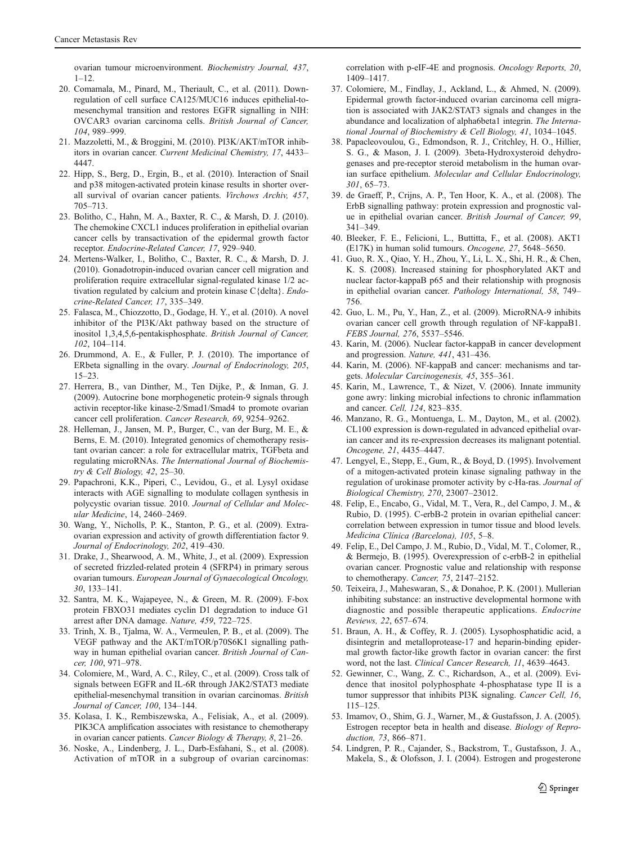<span id="page-14-0"></span>ovarian tumour microenvironment. Biochemistry Journal, 437,  $1 - 12$ .

- 20. Comamala, M., Pinard, M., Theriault, C., et al. (2011). Downregulation of cell surface CA125/MUC16 induces epithelial-tomesenchymal transition and restores EGFR signalling in NIH: OVCAR3 ovarian carcinoma cells. British Journal of Cancer, 104, 989–999.
- 21. Mazzoletti, M., & Broggini, M. (2010). PI3K/AKT/mTOR inhibitors in ovarian cancer. Current Medicinal Chemistry, 17, 4433– 4447.
- 22. Hipp, S., Berg, D., Ergin, B., et al. (2010). Interaction of Snail and p38 mitogen-activated protein kinase results in shorter overall survival of ovarian cancer patients. Virchows Archiv, 457, 705–713.
- 23. Bolitho, C., Hahn, M. A., Baxter, R. C., & Marsh, D. J. (2010). The chemokine CXCL1 induces proliferation in epithelial ovarian cancer cells by transactivation of the epidermal growth factor receptor. Endocrine-Related Cancer, 17, 929–940.
- 24. Mertens-Walker, I., Bolitho, C., Baxter, R. C., & Marsh, D. J. (2010). Gonadotropin-induced ovarian cancer cell migration and proliferation require extracellular signal-regulated kinase 1/2 activation regulated by calcium and protein kinase C{delta}. Endocrine-Related Cancer, 17, 335–349.
- 25. Falasca, M., Chiozzotto, D., Godage, H. Y., et al. (2010). A novel inhibitor of the PI3K/Akt pathway based on the structure of inositol 1,3,4,5,6-pentakisphosphate. British Journal of Cancer, 102, 104–114.
- 26. Drummond, A. E., & Fuller, P. J. (2010). The importance of ERbeta signalling in the ovary. Journal of Endocrinology, 205, 15–23.
- 27. Herrera, B., van Dinther, M., Ten Dijke, P., & Inman, G. J. (2009). Autocrine bone morphogenetic protein-9 signals through activin receptor-like kinase-2/Smad1/Smad4 to promote ovarian cancer cell proliferation. Cancer Research, 69, 9254–9262.
- 28. Helleman, J., Jansen, M. P., Burger, C., van der Burg, M. E., & Berns, E. M. (2010). Integrated genomics of chemotherapy resistant ovarian cancer: a role for extracellular matrix, TGFbeta and regulating microRNAs. The International Journal of Biochemistry & Cell Biology, 42, 25–30.
- 29. Papachroni, K.K., Piperi, C., Levidou, G., et al. Lysyl oxidase interacts with AGE signalling to modulate collagen synthesis in polycystic ovarian tissue. 2010. Journal of Cellular and Molecular Medicine, 14, 2460–2469.
- 30. Wang, Y., Nicholls, P. K., Stanton, P. G., et al. (2009). Extraovarian expression and activity of growth differentiation factor 9. Journal of Endocrinology, 202, 419–430.
- 31. Drake, J., Shearwood, A. M., White, J., et al. (2009). Expression of secreted frizzled-related protein 4 (SFRP4) in primary serous ovarian tumours. European Journal of Gynaecological Oncology, 30, 133–141.
- 32. Santra, M. K., Wajapeyee, N., & Green, M. R. (2009). F-box protein FBXO31 mediates cyclin D1 degradation to induce G1 arrest after DNA damage. Nature, 459, 722–725.
- 33. Trinh, X. B., Tjalma, W. A., Vermeulen, P. B., et al. (2009). The VEGF pathway and the AKT/mTOR/p70S6K1 signalling pathway in human epithelial ovarian cancer. British Journal of Cancer, 100, 971–978.
- 34. Colomiere, M., Ward, A. C., Riley, C., et al. (2009). Cross talk of signals between EGFR and IL-6R through JAK2/STAT3 mediate epithelial-mesenchymal transition in ovarian carcinomas. British Journal of Cancer, 100, 134–144.
- 35. Kolasa, I. K., Rembiszewska, A., Felisiak, A., et al. (2009). PIK3CA amplification associates with resistance to chemotherapy in ovarian cancer patients. Cancer Biology & Therapy, 8, 21–26.
- 36. Noske, A., Lindenberg, J. L., Darb-Esfahani, S., et al. (2008). Activation of mTOR in a subgroup of ovarian carcinomas:

correlation with p-eIF-4E and prognosis. Oncology Reports, 20, 1409–1417.

- 37. Colomiere, M., Findlay, J., Ackland, L., & Ahmed, N. (2009). Epidermal growth factor-induced ovarian carcinoma cell migration is associated with JAK2/STAT3 signals and changes in the abundance and localization of alpha6beta1 integrin. The International Journal of Biochemistry & Cell Biology, 41, 1034–1045.
- 38. Papacleovoulou, G., Edmondson, R. J., Critchley, H. O., Hillier, S. G., & Mason, J. I. (2009). 3beta-Hydroxysteroid dehydrogenases and pre-receptor steroid metabolism in the human ovarian surface epithelium. Molecular and Cellular Endocrinology, 301, 65–73.
- 39. de Graeff, P., Crijns, A. P., Ten Hoor, K. A., et al. (2008). The ErbB signalling pathway: protein expression and prognostic value in epithelial ovarian cancer. British Journal of Cancer, 99, 341–349.
- 40. Bleeker, F. E., Felicioni, L., Buttitta, F., et al. (2008). AKT1 (E17K) in human solid tumours. Oncogene, 27, 5648–5650.
- 41. Guo, R. X., Qiao, Y. H., Zhou, Y., Li, L. X., Shi, H. R., & Chen, K. S. (2008). Increased staining for phosphorylated AKT and nuclear factor-kappaB p65 and their relationship with prognosis in epithelial ovarian cancer. Pathology International, 58, 749– 756.
- 42. Guo, L. M., Pu, Y., Han, Z., et al. (2009). MicroRNA-9 inhibits ovarian cancer cell growth through regulation of NF-kappaB1. FEBS Journal, 276, 5537–5546.
- 43. Karin, M. (2006). Nuclear factor-kappaB in cancer development and progression. Nature, 441, 431–436.
- 44. Karin, M. (2006). NF-kappaB and cancer: mechanisms and targets. Molecular Carcinogenesis, 45, 355–361.
- 45. Karin, M., Lawrence, T., & Nizet, V. (2006). Innate immunity gone awry: linking microbial infections to chronic inflammation and cancer. Cell, 124, 823–835.
- 46. Manzano, R. G., Montuenga, L. M., Dayton, M., et al. (2002). CL100 expression is down-regulated in advanced epithelial ovarian cancer and its re-expression decreases its malignant potential. Oncogene, 21, 4435–4447.
- 47. Lengyel, E., Stepp, E., Gum, R., & Boyd, D. (1995). Involvement of a mitogen-activated protein kinase signaling pathway in the regulation of urokinase promoter activity by c-Ha-ras. Journal of Biological Chemistry, 270, 23007–23012.
- 48. Felip, E., Encabo, G., Vidal, M. T., Vera, R., del Campo, J. M., & Rubio, D. (1995). C-erbB-2 protein in ovarian epithelial cancer: correlation between expression in tumor tissue and blood levels. Medicina Clínica (Barcelona), 105, 5–8.
- 49. Felip, E., Del Campo, J. M., Rubio, D., Vidal, M. T., Colomer, R., & Bermejo, B. (1995). Overexpression of c-erbB-2 in epithelial ovarian cancer. Prognostic value and relationship with response to chemotherapy. Cancer, 75, 2147–2152.
- 50. Teixeira, J., Maheswaran, S., & Donahoe, P. K. (2001). Mullerian inhibiting substance: an instructive developmental hormone with diagnostic and possible therapeutic applications. Endocrine Reviews, 22, 657–674.
- 51. Braun, A. H., & Coffey, R. J. (2005). Lysophosphatidic acid, a disintegrin and metalloprotease-17 and heparin-binding epidermal growth factor-like growth factor in ovarian cancer: the first word, not the last. Clinical Cancer Research, 11, 4639–4643.
- 52. Gewinner, C., Wang, Z. C., Richardson, A., et al. (2009). Evidence that inositol polyphosphate 4-phosphatase type II is a tumor suppressor that inhibits PI3K signaling. Cancer Cell, 16, 115–125.
- 53. Imamov, O., Shim, G. J., Warner, M., & Gustafsson, J. A. (2005). Estrogen receptor beta in health and disease. Biology of Reproduction, 73, 866–871.
- 54. Lindgren, P. R., Cajander, S., Backstrom, T., Gustafsson, J. A., Makela, S., & Olofsson, J. I. (2004). Estrogen and progesterone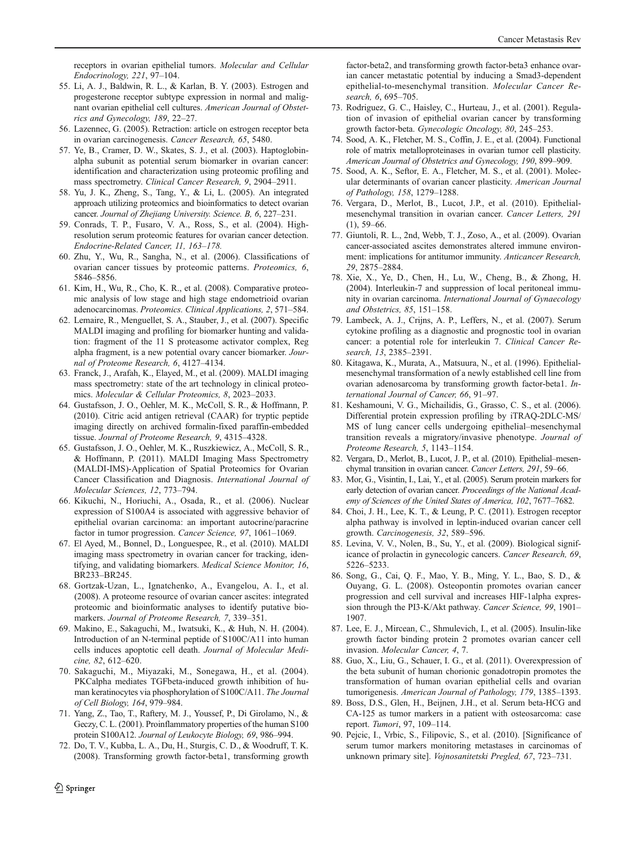<span id="page-15-0"></span>receptors in ovarian epithelial tumors. Molecular and Cellular Endocrinology, 221, 97–104.

- 55. Li, A. J., Baldwin, R. L., & Karlan, B. Y. (2003). Estrogen and progesterone receptor subtype expression in normal and malignant ovarian epithelial cell cultures. American Journal of Obstetrics and Gynecology, 189, 22–27.
- 56. Lazennec, G. (2005). Retraction: article on estrogen receptor beta in ovarian carcinogenesis. Cancer Research, 65, 5480.
- 57. Ye, B., Cramer, D. W., Skates, S. J., et al. (2003). Haptoglobinalpha subunit as potential serum biomarker in ovarian cancer: identification and characterization using proteomic profiling and mass spectrometry. Clinical Cancer Research, 9, 2904–2911.
- 58. Yu, J. K., Zheng, S., Tang, Y., & Li, L. (2005). An integrated approach utilizing proteomics and bioinformatics to detect ovarian cancer. Journal of Zhejiang University. Science. B, 6, 227–231.
- 59. Conrads, T. P., Fusaro, V. A., Ross, S., et al. (2004). Highresolution serum proteomic features for ovarian cancer detection. Endocrine-Related Cancer, 11, 163–178.
- 60. Zhu, Y., Wu, R., Sangha, N., et al. (2006). Classifications of ovarian cancer tissues by proteomic patterns. Proteomics, 6, 5846–5856.
- 61. Kim, H., Wu, R., Cho, K. R., et al. (2008). Comparative proteomic analysis of low stage and high stage endometrioid ovarian adenocarcinomas. Proteomics. Clinical Applications, 2, 571–584.
- 62. Lemaire, R., Menguellet, S. A., Stauber, J., et al. (2007). Specific MALDI imaging and profiling for biomarker hunting and validation: fragment of the 11 S proteasome activator complex, Reg alpha fragment, is a new potential ovary cancer biomarker. Journal of Proteome Research, 6, 4127–4134.
- 63. Franck, J., Arafah, K., Elayed, M., et al. (2009). MALDI imaging mass spectrometry: state of the art technology in clinical proteomics. Molecular & Cellular Proteomics, 8, 2023–2033.
- 64. Gustafsson, J. O., Oehler, M. K., McColl, S. R., & Hoffmann, P. (2010). Citric acid antigen retrieval (CAAR) for tryptic peptide imaging directly on archived formalin-fixed paraffin-embedded tissue. Journal of Proteome Research, 9, 4315–4328.
- 65. Gustafsson, J. O., Oehler, M. K., Ruszkiewicz, A., McColl, S. R., & Hoffmann, P. (2011). MALDI Imaging Mass Spectrometry (MALDI-IMS)-Application of Spatial Proteomics for Ovarian Cancer Classification and Diagnosis. International Journal of Molecular Sciences, 12, 773–794.
- 66. Kikuchi, N., Horiuchi, A., Osada, R., et al. (2006). Nuclear expression of S100A4 is associated with aggressive behavior of epithelial ovarian carcinoma: an important autocrine/paracrine factor in tumor progression. Cancer Science, 97, 1061–1069.
- 67. El Ayed, M., Bonnel, D., Longuespee, R., et al. (2010). MALDI imaging mass spectrometry in ovarian cancer for tracking, identifying, and validating biomarkers. Medical Science Monitor, 16, BR233–BR245.
- 68. Gortzak-Uzan, L., Ignatchenko, A., Evangelou, A. I., et al. (2008). A proteome resource of ovarian cancer ascites: integrated proteomic and bioinformatic analyses to identify putative biomarkers. Journal of Proteome Research, 7, 339–351.
- 69. Makino, E., Sakaguchi, M., Iwatsuki, K., & Huh, N. H. (2004). Introduction of an N-terminal peptide of S100C/A11 into human cells induces apoptotic cell death. Journal of Molecular Medicine, 82, 612–620.
- 70. Sakaguchi, M., Miyazaki, M., Sonegawa, H., et al. (2004). PKCalpha mediates TGFbeta-induced growth inhibition of human keratinocytes via phosphorylation of S100C/A11. The Journal of Cell Biology, 164, 979–984.
- 71. Yang, Z., Tao, T., Raftery, M. J., Youssef, P., Di Girolamo, N., & Geczy, C. L. (2001). Proinflammatory properties of the human S100 protein S100A12. Journal of Leukocyte Biology, 69, 986–994.
- 72. Do, T. V., Kubba, L. A., Du, H., Sturgis, C. D., & Woodruff, T. K. (2008). Transforming growth factor-beta1, transforming growth

factor-beta2, and transforming growth factor-beta3 enhance ovarian cancer metastatic potential by inducing a Smad3-dependent epithelial-to-mesenchymal transition. Molecular Cancer Research, 6, 695–705.

- 73. Rodriguez, G. C., Haisley, C., Hurteau, J., et al. (2001). Regulation of invasion of epithelial ovarian cancer by transforming growth factor-beta. Gynecologic Oncology, 80, 245–253.
- 74. Sood, A. K., Fletcher, M. S., Coffin, J. E., et al. (2004). Functional role of matrix metalloproteinases in ovarian tumor cell plasticity. American Journal of Obstetrics and Gynecology, 190, 899–909.
- 75. Sood, A. K., Seftor, E. A., Fletcher, M. S., et al. (2001). Molecular determinants of ovarian cancer plasticity. American Journal of Pathology, 158, 1279–1288.
- 76. Vergara, D., Merlot, B., Lucot, J.P., et al. (2010). Epithelialmesenchymal transition in ovarian cancer. Cancer Letters, 291  $(1)$ , 59–66.
- 77. Giuntoli, R. L., 2nd, Webb, T. J., Zoso, A., et al. (2009). Ovarian cancer-associated ascites demonstrates altered immune environment: implications for antitumor immunity. Anticancer Research, 29, 2875–2884.
- 78. Xie, X., Ye, D., Chen, H., Lu, W., Cheng, B., & Zhong, H. (2004). Interleukin-7 and suppression of local peritoneal immunity in ovarian carcinoma. International Journal of Gynaecology and Obstetrics, 85, 151–158.
- 79. Lambeck, A. J., Crijns, A. P., Leffers, N., et al. (2007). Serum cytokine profiling as a diagnostic and prognostic tool in ovarian cancer: a potential role for interleukin 7. Clinical Cancer Research, 13, 2385–2391.
- 80. Kitagawa, K., Murata, A., Matsuura, N., et al. (1996). Epithelialmesenchymal transformation of a newly established cell line from ovarian adenosarcoma by transforming growth factor-beta1. International Journal of Cancer, 66, 91–97.
- 81. Keshamouni, V. G., Michailidis, G., Grasso, C. S., et al. (2006). Differential protein expression profiling by iTRAQ-2DLC-MS/ MS of lung cancer cells undergoing epithelial–mesenchymal transition reveals a migratory/invasive phenotype. Journal of Proteome Research, 5, 1143–1154.
- 82. Vergara, D., Merlot, B., Lucot, J. P., et al. (2010). Epithelial–mesenchymal transition in ovarian cancer. Cancer Letters, 291, 59–66.
- 83. Mor, G., Visintin, I., Lai, Y., et al. (2005). Serum protein markers for early detection of ovarian cancer. Proceedings of the National Academy of Sciences of the United States of America, 102, 7677–7682.
- 84. Choi, J. H., Lee, K. T., & Leung, P. C. (2011). Estrogen receptor alpha pathway is involved in leptin-induced ovarian cancer cell growth. Carcinogenesis, 32, 589–596.
- 85. Levina, V. V., Nolen, B., Su, Y., et al. (2009). Biological significance of prolactin in gynecologic cancers. Cancer Research, 69, 5226–5233.
- 86. Song, G., Cai, Q. F., Mao, Y. B., Ming, Y. L., Bao, S. D., & Ouyang, G. L. (2008). Osteopontin promotes ovarian cancer progression and cell survival and increases HIF-1alpha expression through the PI3-K/Akt pathway. Cancer Science, 99, 1901– 1907.
- 87. Lee, E. J., Mircean, C., Shmulevich, I., et al. (2005). Insulin-like growth factor binding protein 2 promotes ovarian cancer cell invasion. Molecular Cancer, 4, 7.
- 88. Guo, X., Liu, G., Schauer, I. G., et al. (2011). Overexpression of the beta subunit of human chorionic gonadotropin promotes the transformation of human ovarian epithelial cells and ovarian tumorigenesis. American Journal of Pathology, 179, 1385–1393.
- 89. Boss, D.S., Glen, H., Beijnen, J.H., et al. Serum beta-HCG and CA-125 as tumor markers in a patient with osteosarcoma: case report. Tumori, 97, 109–114.
- 90. Pejcic, I., Vrbic, S., Filipovic, S., et al. (2010). [Significance of serum tumor markers monitoring metastases in carcinomas of unknown primary site]. Vojnosanitetski Pregled, 67, 723–731.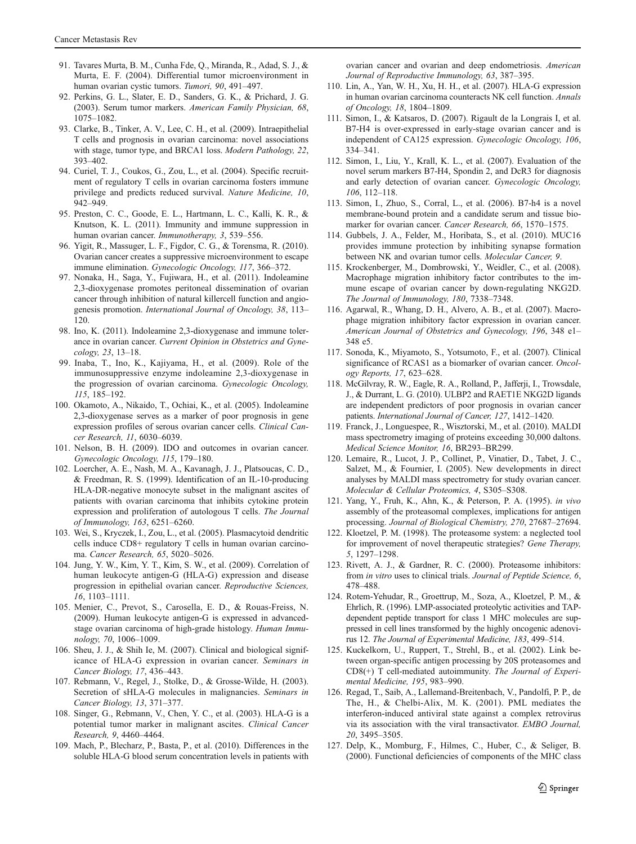- <span id="page-16-0"></span>91. Tavares Murta, B. M., Cunha Fde, Q., Miranda, R., Adad, S. J., & Murta, E. F. (2004). Differential tumor microenvironment in human ovarian cystic tumors. Tumori, 90, 491–497.
- 92. Perkins, G. L., Slater, E. D., Sanders, G. K., & Prichard, J. G. (2003). Serum tumor markers. American Family Physician, 68, 1075–1082.
- 93. Clarke, B., Tinker, A. V., Lee, C. H., et al. (2009). Intraepithelial T cells and prognosis in ovarian carcinoma: novel associations with stage, tumor type, and BRCA1 loss. Modern Pathology, 22, 393–402.
- 94. Curiel, T. J., Coukos, G., Zou, L., et al. (2004). Specific recruitment of regulatory T cells in ovarian carcinoma fosters immune privilege and predicts reduced survival. Nature Medicine, 10, 942–949.
- 95. Preston, C. C., Goode, E. L., Hartmann, L. C., Kalli, K. R., & Knutson, K. L. (2011). Immunity and immune suppression in human ovarian cancer. *Immunotherapy*, 3, 539–556.
- 96. Yigit, R., Massuger, L. F., Figdor, C. G., & Torensma, R. (2010). Ovarian cancer creates a suppressive microenvironment to escape immune elimination. Gynecologic Oncology, 117, 366–372.
- 97. Nonaka, H., Saga, Y., Fujiwara, H., et al. (2011). Indoleamine 2,3-dioxygenase promotes peritoneal dissemination of ovarian cancer through inhibition of natural killercell function and angiogenesis promotion. International Journal of Oncology, 38, 113– 120.
- 98. Ino, K. (2011). Indoleamine 2,3-dioxygenase and immune tolerance in ovarian cancer. Current Opinion in Obstetrics and Gynecology, 23, 13–18.
- 99. Inaba, T., Ino, K., Kajiyama, H., et al. (2009). Role of the immunosuppressive enzyme indoleamine 2,3-dioxygenase in the progression of ovarian carcinoma. Gynecologic Oncology, 115, 185–192.
- 100. Okamoto, A., Nikaido, T., Ochiai, K., et al. (2005). Indoleamine 2,3-dioxygenase serves as a marker of poor prognosis in gene expression profiles of serous ovarian cancer cells. Clinical Cancer Research, 11, 6030–6039.
- 101. Nelson, B. H. (2009). IDO and outcomes in ovarian cancer. Gynecologic Oncology, 115, 179–180.
- 102. Loercher, A. E., Nash, M. A., Kavanagh, J. J., Platsoucas, C. D., & Freedman, R. S. (1999). Identification of an IL-10-producing HLA-DR-negative monocyte subset in the malignant ascites of patients with ovarian carcinoma that inhibits cytokine protein expression and proliferation of autologous T cells. The Journal of Immunology, 163, 6251–6260.
- 103. Wei, S., Kryczek, I., Zou, L., et al. (2005). Plasmacytoid dendritic cells induce CD8+ regulatory T cells in human ovarian carcinoma. Cancer Research, 65, 5020–5026.
- 104. Jung, Y. W., Kim, Y. T., Kim, S. W., et al. (2009). Correlation of human leukocyte antigen-G (HLA-G) expression and disease progression in epithelial ovarian cancer. Reproductive Sciences, 16, 1103–1111.
- 105. Menier, C., Prevot, S., Carosella, E. D., & Rouas-Freiss, N. (2009). Human leukocyte antigen-G is expressed in advancedstage ovarian carcinoma of high-grade histology. Human Immunology, 70, 1006–1009.
- 106. Sheu, J. J., & Shih Ie, M. (2007). Clinical and biological significance of HLA-G expression in ovarian cancer. Seminars in Cancer Biology, 17, 436–443.
- 107. Rebmann, V., Regel, J., Stolke, D., & Grosse-Wilde, H. (2003). Secretion of sHLA-G molecules in malignancies. Seminars in Cancer Biology, 13, 371–377.
- 108. Singer, G., Rebmann, V., Chen, Y. C., et al. (2003). HLA-G is a potential tumor marker in malignant ascites. Clinical Cancer Research, 9, 4460–4464.
- 109. Mach, P., Blecharz, P., Basta, P., et al. (2010). Differences in the soluble HLA-G blood serum concentration levels in patients with

ovarian cancer and ovarian and deep endometriosis. American Journal of Reproductive Immunology, 63, 387–395.

- 110. Lin, A., Yan, W. H., Xu, H. H., et al. (2007). HLA-G expression in human ovarian carcinoma counteracts NK cell function. Annals of Oncology, 18, 1804–1809.
- 111. Simon, I., & Katsaros, D. (2007). Rigault de la Longrais I, et al. B7-H4 is over-expressed in early-stage ovarian cancer and is independent of CA125 expression. Gynecologic Oncology, 106, 334–341.
- 112. Simon, I., Liu, Y., Krall, K. L., et al. (2007). Evaluation of the novel serum markers B7-H4, Spondin 2, and DcR3 for diagnosis and early detection of ovarian cancer. Gynecologic Oncology, 106, 112–118.
- 113. Simon, I., Zhuo, S., Corral, L., et al. (2006). B7-h4 is a novel membrane-bound protein and a candidate serum and tissue biomarker for ovarian cancer. Cancer Research, 66, 1570–1575.
- 114. Gubbels, J. A., Felder, M., Horibata, S., et al. (2010). MUC16 provides immune protection by inhibiting synapse formation between NK and ovarian tumor cells. Molecular Cancer, 9.
- 115. Krockenberger, M., Dombrowski, Y., Weidler, C., et al. (2008). Macrophage migration inhibitory factor contributes to the immune escape of ovarian cancer by down-regulating NKG2D. The Journal of Immunology, 180, 7338–7348.
- 116. Agarwal, R., Whang, D. H., Alvero, A. B., et al. (2007). Macrophage migration inhibitory factor expression in ovarian cancer. American Journal of Obstetrics and Gynecology, 196, 348 e1– 348 e5.
- 117. Sonoda, K., Miyamoto, S., Yotsumoto, F., et al. (2007). Clinical significance of RCAS1 as a biomarker of ovarian cancer. Oncology Reports, 17, 623–628.
- 118. McGilvray, R. W., Eagle, R. A., Rolland, P., Jafferji, I., Trowsdale, J., & Durrant, L. G. (2010). ULBP2 and RAET1E NKG2D ligands are independent predictors of poor prognosis in ovarian cancer patients. International Journal of Cancer, 127, 1412–1420.
- 119. Franck, J., Longuespee, R., Wisztorski, M., et al. (2010). MALDI mass spectrometry imaging of proteins exceeding 30,000 daltons. Medical Science Monitor, 16, BR293–BR299.
- 120. Lemaire, R., Lucot, J. P., Collinet, P., Vinatier, D., Tabet, J. C., Salzet, M., & Fournier, I. (2005). New developments in direct analyses by MALDI mass spectrometry for study ovarian cancer. Molecular & Cellular Proteomics, 4, S305–S308.
- 121. Yang, Y., Fruh, K., Ahn, K., & Peterson, P. A. (1995). in vivo assembly of the proteasomal complexes, implications for antigen processing. Journal of Biological Chemistry, 270, 27687–27694.
- 122. Kloetzel, P. M. (1998). The proteasome system: a neglected tool for improvement of novel therapeutic strategies? Gene Therapy, 5, 1297–1298.
- 123. Rivett, A. J., & Gardner, R. C. (2000). Proteasome inhibitors: from in vitro uses to clinical trials. Journal of Peptide Science, 6, 478–488.
- 124. Rotem-Yehudar, R., Groettrup, M., Soza, A., Kloetzel, P. M., & Ehrlich, R. (1996). LMP-associated proteolytic activities and TAPdependent peptide transport for class 1 MHC molecules are suppressed in cell lines transformed by the highly oncogenic adenovirus 12. The Journal of Experimental Medicine, 183, 499–514.
- 125. Kuckelkorn, U., Ruppert, T., Strehl, B., et al. (2002). Link between organ-specific antigen processing by 20S proteasomes and CD8(+) T cell-mediated autoimmunity. The Journal of Experimental Medicine, 195, 983–990.
- 126. Regad, T., Saib, A., Lallemand-Breitenbach, V., Pandolfi, P. P., de The, H., & Chelbi-Alix, M. K. (2001). PML mediates the interferon-induced antiviral state against a complex retrovirus via its association with the viral transactivator. EMBO Journal, 20, 3495–3505.
- 127. Delp, K., Momburg, F., Hilmes, C., Huber, C., & Seliger, B. (2000). Functional deficiencies of components of the MHC class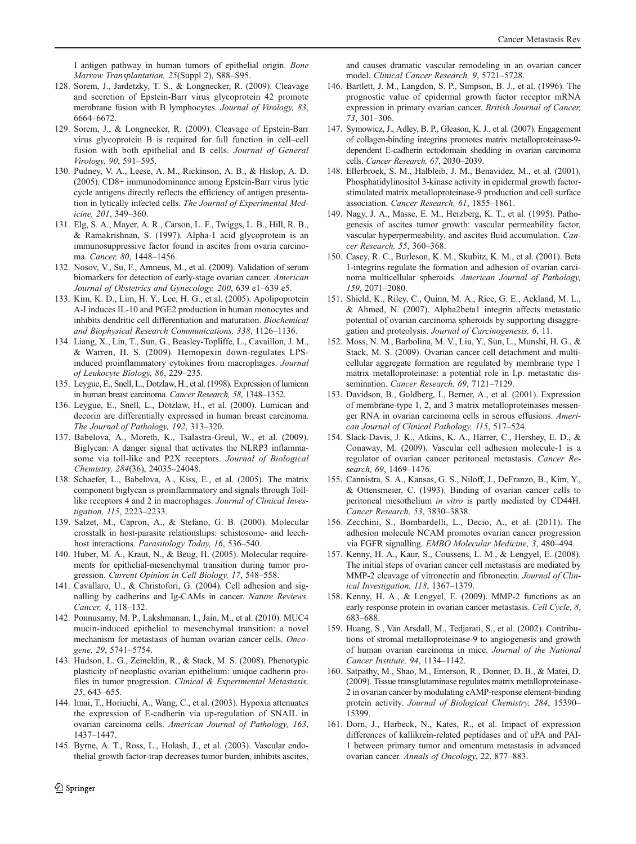<span id="page-17-0"></span>I antigen pathway in human tumors of epithelial origin. Bone Marrow Transplantation, 25(Suppl 2), S88–S95.

- 128. Sorem, J., Jardetzky, T. S., & Longnecker, R. (2009). Cleavage and secretion of Epstein-Barr virus glycoprotein 42 promote membrane fusion with B lymphocytes. Journal of Virology, 83, 6664–6672.
- 129. Sorem, J., & Longnecker, R. (2009). Cleavage of Epstein-Barr virus glycoprotein B is required for full function in cell–cell fusion with both epithelial and B cells. Journal of General Virology, 90, 591–595.
- 130. Pudney, V. A., Leese, A. M., Rickinson, A. B., & Hislop, A. D. (2005). CD8+ immunodominance among Epstein-Barr virus lytic cycle antigens directly reflects the efficiency of antigen presentation in lytically infected cells. The Journal of Experimental Medicine, 201, 349–360.
- 131. Elg, S. A., Mayer, A. R., Carson, L. F., Twiggs, L. B., Hill, R. B., & Ramakrishnan, S. (1997). Alpha-1 acid glycoprotein is an immunosuppressive factor found in ascites from ovaria carcinoma. Cancer, 80, 1448–1456.
- 132. Nosov, V., Su, F., Amneus, M., et al. (2009). Validation of serum biomarkers for detection of early-stage ovarian cancer. American Journal of Obstetrics and Gynecology, 200, 639 e1–639 e5.
- 133. Kim, K. D., Lim, H. Y., Lee, H. G., et al. (2005). Apolipoprotein A-I induces IL-10 and PGE2 production in human monocytes and inhibits dendritic cell differentiation and maturation. Biochemical and Biophysical Research Communications, 338, 1126–1136.
- 134. Liang, X., Lin, T., Sun, G., Beasley-Topliffe, L., Cavaillon, J. M., & Warren, H. S. (2009). Hemopexin down-regulates LPSinduced proinflammatory cytokines from macrophages. Journal of Leukocyte Biology, 86, 229–235.
- 135. Leygue, E., Snell, L., Dotzlaw, H., et al. (1998). Expression of lumican in human breast carcinoma. Cancer Research, 58, 1348–1352.
- 136. Leygue, E., Snell, L., Dotzlaw, H., et al. (2000). Lumican and decorin are differentially expressed in human breast carcinoma. The Journal of Pathology, 192, 313–320.
- 137. Babelova, A., Moreth, K., Tsalastra-Greul, W., et al. (2009). Biglycan: A danger signal that activates the NLRP3 inflammasome via toll-like and P2X receptors. Journal of Biological Chemistry, 284(36), 24035–24048.
- 138. Schaefer, L., Babelova, A., Kiss, E., et al. (2005). The matrix component biglycan is proinflammatory and signals through Tolllike receptors 4 and 2 in macrophages. Journal of Clinical Investigation, 115, 2223–2233.
- 139. Salzet, M., Capron, A., & Stefano, G. B. (2000). Molecular crosstalk in host-parasite relationships: schistosome- and leechhost interactions. *Parasitology Today*, 16, 536–540.
- 140. Huber, M. A., Kraut, N., & Beug, H. (2005). Molecular requirements for epithelial-mesenchymal transition during tumor progression. Current Opinion in Cell Biology, 17, 548–558.
- 141. Cavallaro, U., & Christofori, G. (2004). Cell adhesion and signalling by cadherins and Ig-CAMs in cancer. Nature Reviews. Cancer, 4, 118–132.
- 142. Ponnusamy, M. P., Lakshmanan, I., Jain, M., et al. (2010). MUC4 mucin-induced epithelial to mesenchymal transition: a novel mechanism for metastasis of human ovarian cancer cells. Oncogene, 29, 5741–5754.
- 143. Hudson, L. G., Zeineldin, R., & Stack, M. S. (2008). Phenotypic plasticity of neoplastic ovarian epithelium: unique cadherin profiles in tumor progression. Clinical & Experimental Metastasis, 25, 643–655.
- 144. Imai, T., Horiuchi, A., Wang, C., et al. (2003). Hypoxia attenuates the expression of E-cadherin via up-regulation of SNAIL in ovarian carcinoma cells. American Journal of Pathology, 163, 1437–1447.
- 145. Byrne, A. T., Ross, L., Holash, J., et al. (2003). Vascular endothelial growth factor-trap decreases tumor burden, inhibits ascites,

and causes dramatic vascular remodeling in an ovarian cancer model. Clinical Cancer Research, 9, 5721–5728.

- 146. Bartlett, J. M., Langdon, S. P., Simpson, B. J., et al. (1996). The prognostic value of epidermal growth factor receptor mRNA expression in primary ovarian cancer. British Journal of Cancer, 73, 301–306.
- 147. Symowicz, J., Adley, B. P., Gleason, K. J., et al. (2007). Engagement of collagen-binding integrins promotes matrix metalloproteinase-9 dependent E-cadherin ectodomain shedding in ovarian carcinoma cells. Cancer Research, 67, 2030–2039.
- 148. Ellerbroek, S. M., Halbleib, J. M., Benavidez, M., et al. (2001). Phosphatidylinositol 3-kinase activity in epidermal growth factorstimulated matrix metalloproteinase-9 production and cell surface association. Cancer Research, 61, 1855–1861.
- 149. Nagy, J. A., Masse, E. M., Herzberg, K. T., et al. (1995). Pathogenesis of ascites tumor growth: vascular permeability factor, vascular hyperpermeability, and ascites fluid accumulation. Cancer Research, 55, 360–368.
- 150. Casey, R. C., Burleson, K. M., Skubitz, K. M., et al. (2001). Beta 1-integrins regulate the formation and adhesion of ovarian carcinoma multicellular spheroids. American Journal of Pathology, 159, 2071–2080.
- 151. Shield, K., Riley, C., Quinn, M. A., Rice, G. E., Ackland, M. L., & Ahmed, N. (2007). Alpha2beta1 integrin affects metastatic potential of ovarian carcinoma spheroids by supporting disaggregation and proteolysis. Journal of Carcinogenesis, 6, 11.
- 152. Moss, N. M., Barbolina, M. V., Liu, Y., Sun, L., Munshi, H. G., & Stack, M. S. (2009). Ovarian cancer cell detachment and multicellular aggregate formation are regulated by membrane type 1 matrix metalloproteinase: a potential role in I.p. metastatic dissemination. Cancer Research, 69, 7121–7129.
- 153. Davidson, B., Goldberg, I., Berner, A., et al. (2001). Expression of membrane-type 1, 2, and 3 matrix metalloproteinases messenger RNA in ovarian carcinoma cells in serous effusions. American Journal of Clinical Pathology, 115, 517–524.
- 154. Slack-Davis, J. K., Atkins, K. A., Harrer, C., Hershey, E. D., & Conaway, M. (2009). Vascular cell adhesion molecule-1 is a regulator of ovarian cancer peritoneal metastasis. Cancer Research, 69, 1469–1476.
- 155. Cannistra, S. A., Kansas, G. S., Niloff, J., DeFranzo, B., Kim, Y., & Ottensmeier, C. (1993). Binding of ovarian cancer cells to peritoneal mesothelium in vitro is partly mediated by CD44H. Cancer Research, 53, 3830–3838.
- 156. Zecchini, S., Bombardelli, L., Decio, A., et al. (2011). The adhesion molecule NCAM promotes ovarian cancer progression via FGFR signalling. EMBO Molecular Medicine, 3, 480–494.
- 157. Kenny, H. A., Kaur, S., Coussens, L. M., & Lengyel, E. (2008). The initial steps of ovarian cancer cell metastasis are mediated by MMP-2 cleavage of vitronectin and fibronectin. Journal of Clinical Investigation, 118, 1367–1379.
- 158. Kenny, H. A., & Lengyel, E. (2009). MMP-2 functions as an early response protein in ovarian cancer metastasis. Cell Cycle, 8, 683–688.
- 159. Huang, S., Van Arsdall, M., Tedjarati, S., et al. (2002). Contributions of stromal metalloproteinase-9 to angiogenesis and growth of human ovarian carcinoma in mice. Journal of the National Cancer Institute, 94, 1134–1142.
- 160. Satpathy, M., Shao, M., Emerson, R., Donner, D. B., & Matei, D. (2009). Tissue transglutaminase regulates matrix metalloproteinase-2 in ovarian cancer by modulating cAMP-response element-binding protein activity. Journal of Biological Chemistry, 284, 15390– 15399.
- 161. Dorn, J., Harbeck, N., Kates, R., et al. Impact of expression differences of kallikrein-related peptidases and of uPA and PAI-1 between primary tumor and omentum metastasis in advanced ovarian cancer. Annals of Oncology, 22, 877–883.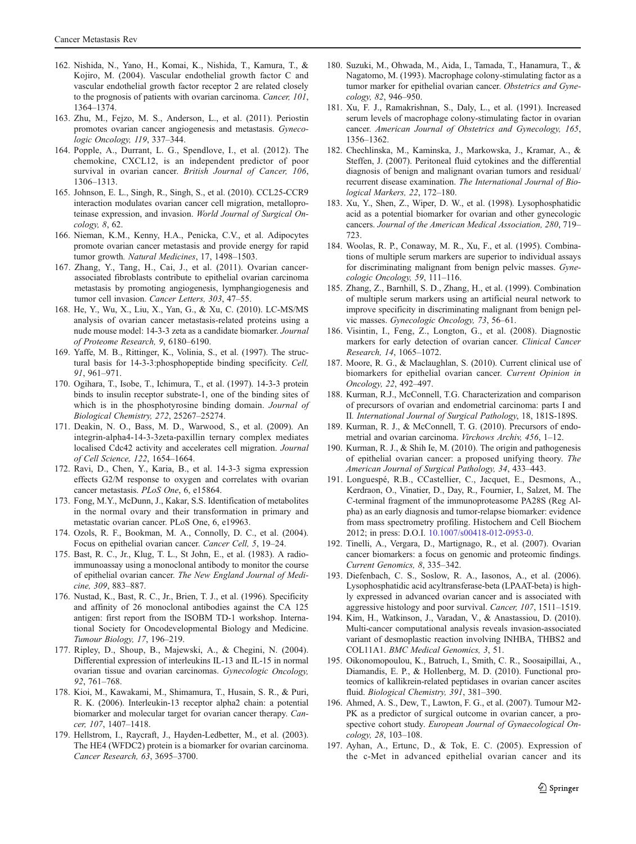- <span id="page-18-0"></span>162. Nishida, N., Yano, H., Komai, K., Nishida, T., Kamura, T., & Kojiro, M. (2004). Vascular endothelial growth factor C and vascular endothelial growth factor receptor 2 are related closely to the prognosis of patients with ovarian carcinoma. Cancer, 101, 1364–1374.
- 163. Zhu, M., Fejzo, M. S., Anderson, L., et al. (2011). Periostin promotes ovarian cancer angiogenesis and metastasis. Gynecologic Oncology, 119, 337–344.
- 164. Popple, A., Durrant, L. G., Spendlove, I., et al. (2012). The chemokine, CXCL12, is an independent predictor of poor survival in ovarian cancer. British Journal of Cancer, 106, 1306–1313.
- 165. Johnson, E. L., Singh, R., Singh, S., et al. (2010). CCL25-CCR9 interaction modulates ovarian cancer cell migration, metalloproteinase expression, and invasion. World Journal of Surgical Oncology, 8, 62.
- 166. Nieman, K.M., Kenny, H.A., Penicka, C.V., et al. Adipocytes promote ovarian cancer metastasis and provide energy for rapid tumor growth. Natural Medicines, 17, 1498–1503.
- 167. Zhang, Y., Tang, H., Cai, J., et al. (2011). Ovarian cancerassociated fibroblasts contribute to epithelial ovarian carcinoma metastasis by promoting angiogenesis, lymphangiogenesis and tumor cell invasion. Cancer Letters, 303, 47–55.
- 168. He, Y., Wu, X., Liu, X., Yan, G., & Xu, C. (2010). LC-MS/MS analysis of ovarian cancer metastasis-related proteins using a nude mouse model: 14-3-3 zeta as a candidate biomarker. Journal of Proteome Research, 9, 6180–6190.
- 169. Yaffe, M. B., Rittinger, K., Volinia, S., et al. (1997). The structural basis for 14-3-3:phosphopeptide binding specificity. Cell, 91, 961–971.
- 170. Ogihara, T., Isobe, T., Ichimura, T., et al. (1997). 14-3-3 protein binds to insulin receptor substrate-1, one of the binding sites of which is in the phosphotyrosine binding domain. Journal of Biological Chemistry, 272, 25267–25274.
- 171. Deakin, N. O., Bass, M. D., Warwood, S., et al. (2009). An integrin-alpha4-14-3-3zeta-paxillin ternary complex mediates localised Cdc42 activity and accelerates cell migration. Journal of Cell Science, 122, 1654–1664.
- 172. Ravi, D., Chen, Y., Karia, B., et al. 14-3-3 sigma expression effects G2/M response to oxygen and correlates with ovarian cancer metastasis. PLoS One, 6, e15864.
- 173. Fong, M.Y., McDunn, J., Kakar, S.S. Identification of metabolites in the normal ovary and their transformation in primary and metastatic ovarian cancer. PLoS One, 6, e19963.
- 174. Ozols, R. F., Bookman, M. A., Connolly, D. C., et al. (2004). Focus on epithelial ovarian cancer. Cancer Cell, 5, 19–24.
- 175. Bast, R. C., Jr., Klug, T. L., St John, E., et al. (1983). A radioimmunoassay using a monoclonal antibody to monitor the course of epithelial ovarian cancer. The New England Journal of Medicine, 309, 883–887.
- 176. Nustad, K., Bast, R. C., Jr., Brien, T. J., et al. (1996). Specificity and affinity of 26 monoclonal antibodies against the CA 125 antigen: first report from the ISOBM TD-1 workshop. International Society for Oncodevelopmental Biology and Medicine. Tumour Biology, 17, 196–219.
- 177. Ripley, D., Shoup, B., Majewski, A., & Chegini, N. (2004). Differential expression of interleukins IL-13 and IL-15 in normal ovarian tissue and ovarian carcinomas. Gynecologic Oncology, 92, 761–768.
- 178. Kioi, M., Kawakami, M., Shimamura, T., Husain, S. R., & Puri, R. K. (2006). Interleukin-13 receptor alpha2 chain: a potential biomarker and molecular target for ovarian cancer therapy. Cancer, 107, 1407–1418.
- 179. Hellstrom, I., Raycraft, J., Hayden-Ledbetter, M., et al. (2003). The HE4 (WFDC2) protein is a biomarker for ovarian carcinoma. Cancer Research, 63, 3695–3700.
- 180. Suzuki, M., Ohwada, M., Aida, I., Tamada, T., Hanamura, T., & Nagatomo, M. (1993). Macrophage colony-stimulating factor as a tumor marker for epithelial ovarian cancer. Obstetrics and Gynecology, 82, 946–950.
- 181. Xu, F. J., Ramakrishnan, S., Daly, L., et al. (1991). Increased serum levels of macrophage colony-stimulating factor in ovarian cancer. American Journal of Obstetrics and Gynecology, 165, 1356–1362.
- 182. Chechlinska, M., Kaminska, J., Markowska, J., Kramar, A., & Steffen, J. (2007). Peritoneal fluid cytokines and the differential diagnosis of benign and malignant ovarian tumors and residual/ recurrent disease examination. The International Journal of Biological Markers, 22, 172–180.
- 183. Xu, Y., Shen, Z., Wiper, D. W., et al. (1998). Lysophosphatidic acid as a potential biomarker for ovarian and other gynecologic cancers. Journal of the American Medical Association, 280, 719– 723.
- 184. Woolas, R. P., Conaway, M. R., Xu, F., et al. (1995). Combinations of multiple serum markers are superior to individual assays for discriminating malignant from benign pelvic masses. Gynecologic Oncology, 59, 111–116.
- 185. Zhang, Z., Barnhill, S. D., Zhang, H., et al. (1999). Combination of multiple serum markers using an artificial neural network to improve specificity in discriminating malignant from benign pelvic masses. Gynecologic Oncology, 73, 56–61.
- 186. Visintin, I., Feng, Z., Longton, G., et al. (2008). Diagnostic markers for early detection of ovarian cancer. Clinical Cancer Research, 14, 1065–1072.
- 187. Moore, R. G., & Maclaughlan, S. (2010). Current clinical use of biomarkers for epithelial ovarian cancer. Current Opinion in Oncology, 22, 492–497.
- 188. Kurman, R.J., McConnell, T.G. Characterization and comparison of precursors of ovarian and endometrial carcinoma: parts I and II. International Journal of Surgical Pathology, 18, 181S-189S.
- 189. Kurman, R. J., & McConnell, T. G. (2010). Precursors of endometrial and ovarian carcinoma. Virchows Archiv, 456, 1–12.
- 190. Kurman, R. J., & Shih Ie, M. (2010). The origin and pathogenesis of epithelial ovarian cancer: a proposed unifying theory. The American Journal of Surgical Pathology, 34, 433–443.
- 191. Longuespé, R.B., CCastellier, C., Jacquet, E., Desmons, A., Kerdraon, O., Vinatier, D., Day, R., Fournier, I., Salzet, M. The C-terminal fragment of the immunoproteasome PA28S (Reg Alpha) as an early diagnosis and tumor-relapse biomarker: evidence from mass spectrometry profiling. Histochem and Cell Biochem 2012; in press: D.O.I. [10.1007/s00418-012-0953-0.](http://dx.doi.org/10.1007/s00418-012-0953-0)
- 192. Tinelli, A., Vergara, D., Martignago, R., et al. (2007). Ovarian cancer biomarkers: a focus on genomic and proteomic findings. Current Genomics, 8, 335–342.
- 193. Diefenbach, C. S., Soslow, R. A., Iasonos, A., et al. (2006). Lysophosphatidic acid acyltransferase-beta (LPAAT-beta) is highly expressed in advanced ovarian cancer and is associated with aggressive histology and poor survival. Cancer, 107, 1511–1519.
- 194. Kim, H., Watkinson, J., Varadan, V., & Anastassiou, D. (2010). Multi-cancer computational analysis reveals invasion-associated variant of desmoplastic reaction involving INHBA, THBS2 and COL11A1. BMC Medical Genomics, 3, 51.
- 195. Oikonomopoulou, K., Batruch, I., Smith, C. R., Soosaipillai, A., Diamandis, E. P., & Hollenberg, M. D. (2010). Functional proteomics of kallikrein-related peptidases in ovarian cancer ascites fluid. Biological Chemistry, 391, 381–390.
- 196. Ahmed, A. S., Dew, T., Lawton, F. G., et al. (2007). Tumour M2- PK as a predictor of surgical outcome in ovarian cancer, a prospective cohort study. European Journal of Gynaecological Oncology, 28, 103–108.
- 197. Ayhan, A., Ertunc, D., & Tok, E. C. (2005). Expression of the c-Met in advanced epithelial ovarian cancer and its